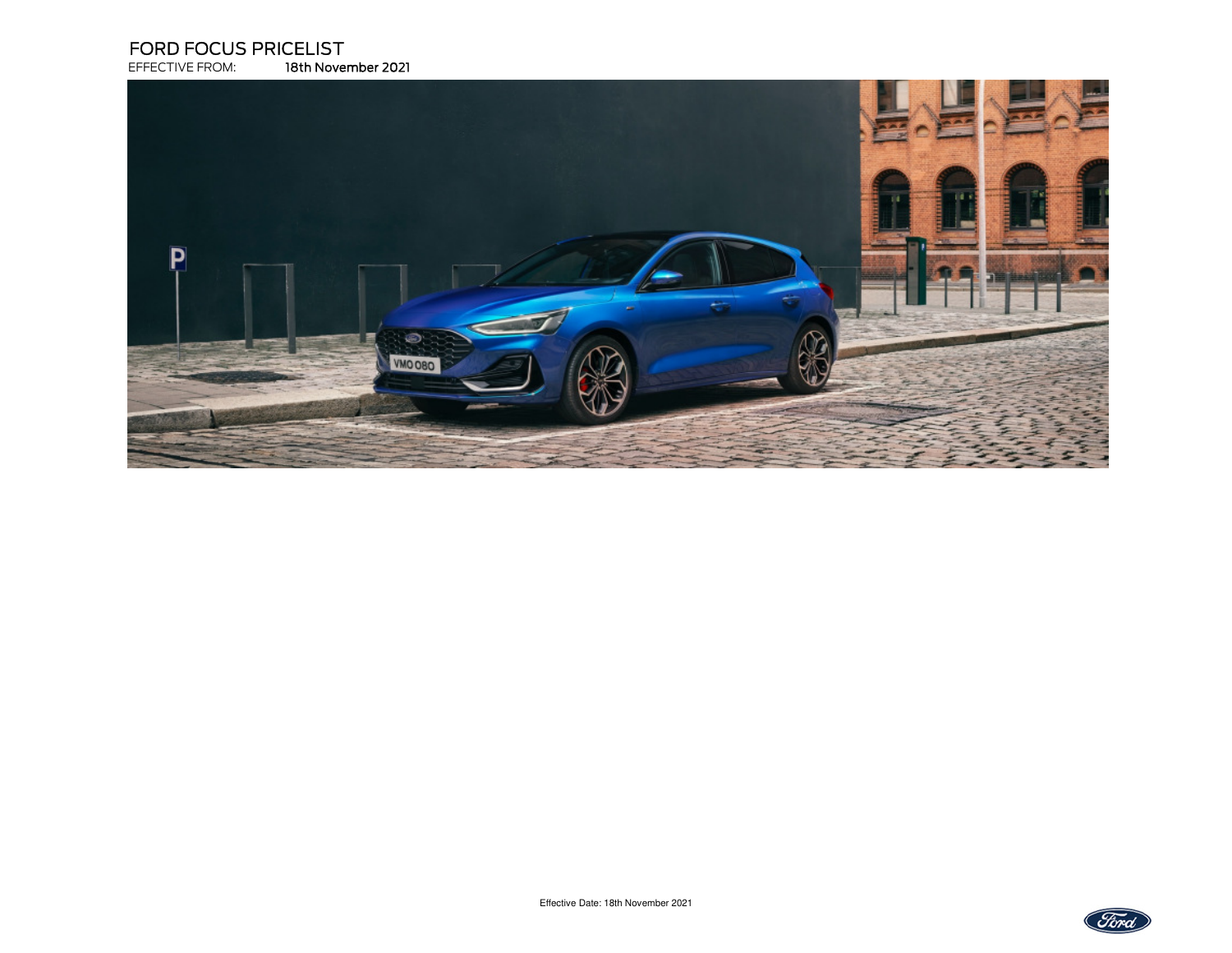# **FORD FOCUS PRICELIST**<br>EFFECTIVE FROM: 18th Nover

EFFECTIVE FROM: 18th November 2021



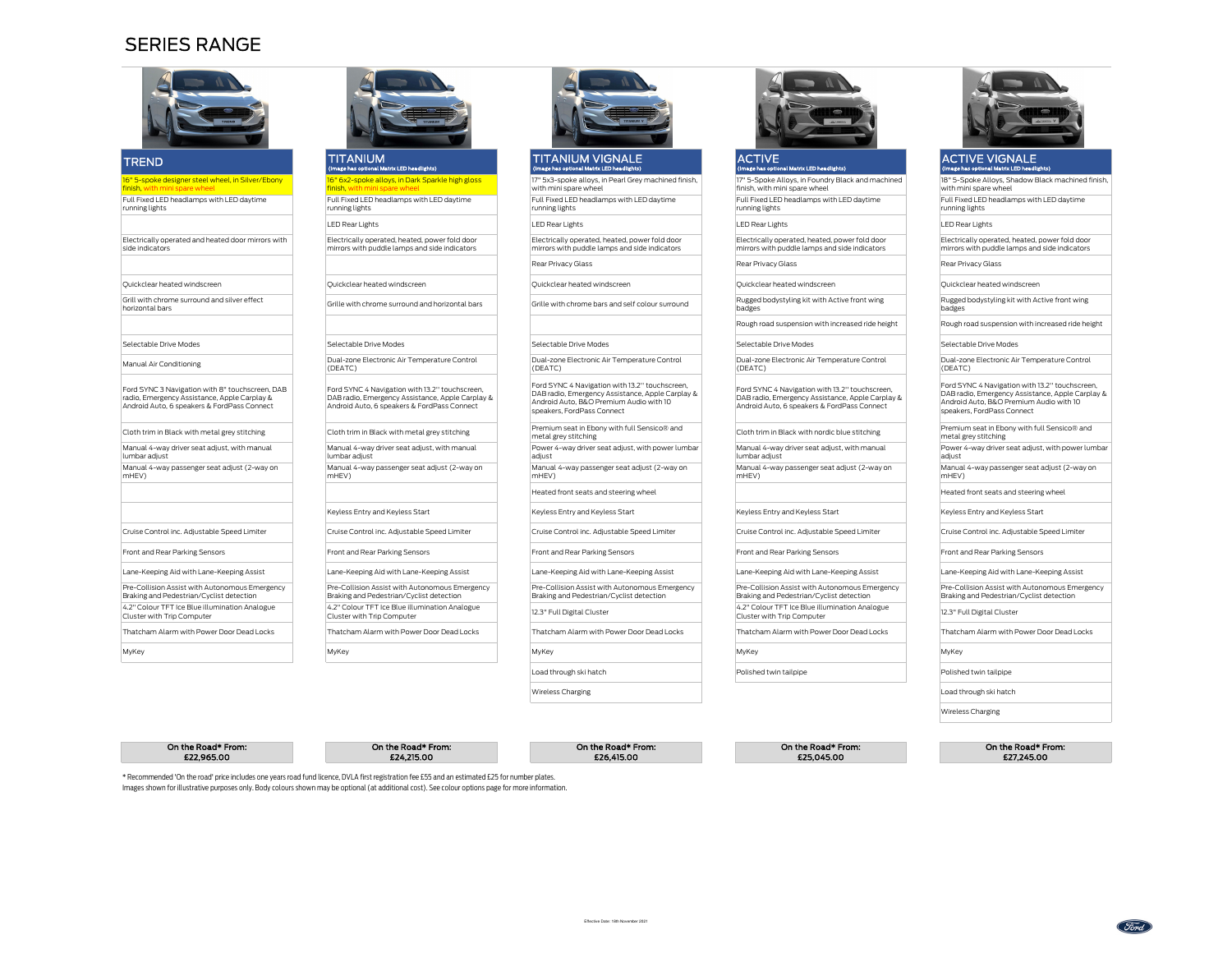## SERIES RANGE



| <b>TREND</b>                                                                                                                                   | <b>TITANIUM</b>                                                                                                                                   | <b>TITANIUM VIGNALE</b>                                                                                                                                                     | <b>ACTIVE</b>                                                                                                                                     | <b>ACTIVE VIGNALE</b>                                                                                                                                            |
|------------------------------------------------------------------------------------------------------------------------------------------------|---------------------------------------------------------------------------------------------------------------------------------------------------|-----------------------------------------------------------------------------------------------------------------------------------------------------------------------------|---------------------------------------------------------------------------------------------------------------------------------------------------|------------------------------------------------------------------------------------------------------------------------------------------------------------------|
|                                                                                                                                                | (Image has optional Matrix LED headlights)                                                                                                        | (Image has optional Matrix LED headlights)                                                                                                                                  | (Image has optional Matrix LED headlights)                                                                                                        | (Image has optional Matrix LED headlights)                                                                                                                       |
| 16" 5-spoke designer steel wheel, in Silver/Ebony<br>finish, with mini spare wheel                                                             | 16" 6x2-spoke alloys, in Dark Sparkle high gloss<br>finish, with mini spare wheel                                                                 | 17" 5x3-spoke alloys, in Pearl Grey machined finish,<br>with mini spare wheel                                                                                               | 17" 5-Spoke Alloys, in Foundry Black and machined<br>finish, with mini spare wheel                                                                | 18" 5-Spoke Alloys, Shadow Black machine<br>with mini spare wheel                                                                                                |
| Full Fixed LED headlamps with LED daytime<br>running lights                                                                                    | Full Fixed LED headlamps with LED daytime<br>running lights                                                                                       | Full Fixed LED headlamps with LED daytime<br>running lights                                                                                                                 | Full Fixed LED headlamps with LED daytime<br>running lights                                                                                       | Full Fixed LED headlamps with LED daytime<br>running lights                                                                                                      |
|                                                                                                                                                | <b>LED Rear Lights</b>                                                                                                                            | <b>LED Rear Lights</b>                                                                                                                                                      | <b>LED Rear Lights</b>                                                                                                                            | <b>LED Rear Lights</b>                                                                                                                                           |
| Electrically operated and heated door mirrors with<br>side indicators                                                                          | Electrically operated, heated, power fold door<br>mirrors with puddle lamps and side indicators                                                   | Electrically operated, heated, power fold door<br>mirrors with puddle lamps and side indicators                                                                             | Electrically operated, heated, power fold door<br>mirrors with puddle lamps and side indicators                                                   | Electrically operated, heated, power fold do<br>mirrors with puddle lamps and side indicato                                                                      |
|                                                                                                                                                |                                                                                                                                                   | Rear Privacy Glass                                                                                                                                                          | Rear Privacy Glass                                                                                                                                | Rear Privacy Glass                                                                                                                                               |
| Quickclear heated windscreen                                                                                                                   | Ouickclear heated windscreen                                                                                                                      | Ouickclear heated windscreen                                                                                                                                                | Ouickclear heated windscreen                                                                                                                      | Ouickclear heated windscreen                                                                                                                                     |
| Grill with chrome surround and silver effect<br>horizontal bars                                                                                | Grille with chrome surround and horizontal bars                                                                                                   | Grille with chrome bars and self colour surround                                                                                                                            | Rugged bodystyling kit with Active front wing<br>badges                                                                                           | Rugged bodystyling kit with Active front wir<br>badges                                                                                                           |
|                                                                                                                                                |                                                                                                                                                   |                                                                                                                                                                             | Rough road suspension with increased ride height                                                                                                  | Rough road suspension with increased ride I                                                                                                                      |
| Selectable Drive Modes                                                                                                                         | Selectable Drive Modes                                                                                                                            | Selectable Drive Modes                                                                                                                                                      | Selectable Drive Modes                                                                                                                            | Selectable Drive Modes                                                                                                                                           |
| Manual Air Conditioning                                                                                                                        | Dual-zone Electronic Air Temperature Control<br>(DEATC)                                                                                           | Dual-zone Electronic Air Temperature Control<br>(DEATC)                                                                                                                     | Dual-zone Electronic Air Temperature Control<br>(DEATC)                                                                                           | Dual-zone Electronic Air Temperature Contr<br>(DEATC)                                                                                                            |
| Ford SYNC 3 Navigation with 8" touchscreen, DAB<br>radio. Emergency Assistance, Apple Carplay &<br>Android Auto, 6 speakers & FordPass Connect | Ford SYNC 4 Navigation with 13.2" touchscreen,<br>DAB radio, Emergency Assistance, Apple Carplay &<br>Android Auto, 6 speakers & FordPass Connect | Ford SYNC 4 Navigation with 13.2" touchscreen,<br>DAB radio, Emergency Assistance, Apple Carplay &<br>Android Auto, B&O Premium Audio with 10<br>speakers, FordPass Connect | Ford SYNC 4 Navigation with 13.2" touchscreen,<br>DAB radio. Emergency Assistance, Apple Carplay &<br>Android Auto, 6 speakers & FordPass Connect | Ford SYNC 4 Navigation with 13.2" touchscr<br>DAB radio, Emergency Assistance, Apple Ca<br>Android Auto, B&O Premium Audio with 10<br>speakers, FordPass Connect |
| Cloth trim in Black with metal grey stitching                                                                                                  | Cloth trim in Black with metal grey stitching                                                                                                     | Premium seat in Ebony with full Sensico® and<br>metal grey stitching                                                                                                        | Cloth trim in Black with nordic blue stitching                                                                                                    | Premium seat in Ebony with full Sensico® a<br>metal grey stitching                                                                                               |
| Manual 4-way driver seat adjust, with manual<br>lumbar adiust                                                                                  | Manual 4-way driver seat adjust, with manual<br>lumbar adiust                                                                                     | Power 4-way driver seat adjust, with power lumbar<br>adiust                                                                                                                 | Manual 4-way driver seat adiust, with manual<br>lumbar adiust                                                                                     | Power 4-way driver seat adjust, with power<br>adiust                                                                                                             |
| Manual 4-way passenger seat adjust (2-way on<br>mHEV)                                                                                          | Manual 4-way passenger seat adjust (2-way on<br>mHEV)                                                                                             | Manual 4-way passenger seat adjust (2-way on<br>mHEV)                                                                                                                       | Manual 4-way passenger seat adjust (2-way on<br>mHEV)                                                                                             | Manual 4-way passenger seat adjust (2-wa<br>mHEV)                                                                                                                |
|                                                                                                                                                |                                                                                                                                                   | Heated front seats and steering wheel                                                                                                                                       |                                                                                                                                                   | Heated front seats and steering wheel                                                                                                                            |
|                                                                                                                                                | Keyless Entry and Keyless Start                                                                                                                   | Keyless Entry and Keyless Start                                                                                                                                             | Keyless Entry and Keyless Start                                                                                                                   | Keyless Entry and Keyless Start                                                                                                                                  |
| Cruise Control inc. Adjustable Speed Limiter                                                                                                   | Cruise Control inc. Adjustable Speed Limiter                                                                                                      | Cruise Control inc. Adjustable Speed Limiter                                                                                                                                | Cruise Control inc. Adjustable Speed Limiter                                                                                                      | Cruise Control inc. Adjustable Speed Limiter                                                                                                                     |
| Front and Rear Parking Sensors                                                                                                                 | Front and Rear Parking Sensors                                                                                                                    | Front and Rear Parking Sensors                                                                                                                                              | Front and Rear Parking Sensors                                                                                                                    | Front and Rear Parking Sensors                                                                                                                                   |
| Lane-Keeping Aid with Lane-Keeping Assist                                                                                                      | Lane-Keeping Aid with Lane-Keeping Assist                                                                                                         | Lane-Keeping Aid with Lane-Keeping Assist                                                                                                                                   | Lane-Keeping Aid with Lane-Keeping Assist                                                                                                         | Lane-Keeping Aid with Lane-Keeping Assist                                                                                                                        |
| Pre-Collision Assist with Autonomous Emergency<br>Braking and Pedestrian/Cyclist detection                                                     | Pre-Collision Assist with Autonomous Emergency<br>Braking and Pedestrian/Cyclist detection                                                        | Pre-Collision Assist with Autonomous Emergency<br>Braking and Pedestrian/Cyclist detection                                                                                  | Pre-Collision Assist with Autonomous Emergency<br>Braking and Pedestrian/Cyclist detection                                                        | Pre-Collision Assist with Autonomous Emer<br>Braking and Pedestrian/Cyclist detection                                                                            |
| 4.2" Colour TFT Ice Blue illumination Analogue<br>Cluster with Trip Computer                                                                   | 4.2" Colour TFT Ice Blue illumination Analogue<br>Cluster with Trip Computer                                                                      | 12.3" Full Digital Cluster                                                                                                                                                  | 4.2" Colour TFT Ice Blue illumination Analogue<br>Cluster with Trip Computer                                                                      | 12.3" Full Digital Cluster                                                                                                                                       |



MyKey MyKey MyKey MyKey

Load through ski hatch

Wireless Charging



#### ACTIVE(Image has optional Matrix LED headlights)

## ACTIVE VIGNALE(Image has optional Matrix LED headlights) 18" 5-Spoke Alloys, Shadow Black machined finish, with mini spare wheelFull Fixed LED headlamps with LED daytime

Electrically operated, heated, power fold door mirrors with puddle lamps and side indicatorss and the contract of the Rear Privacy Glass Rear Privacy Glass Rear Privacy Glass Rear Privacy Glass Rear Privacy Glass Rear Privacy Glass Rear Privacy Glass Rear Privacy Glass Rear Privacy Glass Rear Privacy Glass Rear P Rough road suspension with increased ride height Rough road suspension with increased ride height Ford SYNC 4 Navigation with 13.2'' touchscreen, DAB radio, Emergency Assistance, Apple Carplay & Android Auto, B&O Premium Audio with 10 speakers, FordPass Connect Cloth trim in Black with nordic blue stitching Premium seat in Ebony with full Sensico® and metal grey stitching Power 4-way driver seat adjust, with power lumbar adjust Manual 4-way passenger seat adjust (2-way on mHEV) Heated front seats and steering wheel Lane-Keeping Aid with Lane-Keeping Assist Lane-Keeping Aid with Lane-Keeping Assist Lane-Keeping Aid with Lane-Keeping Assist Lane-Keeping Aid with Lane-Keeping Assist Lane-Keeping Aid with Lane-Keeping Assist Pre-Collision Assist with Autonomous Emergency Braking and Pedestrian/Cyclist detectionThatcham Alarm with Power Door Dead Locks Thatcham Alarm with Power Door Dead Locks Thatcham Alarm with Power Door Dead Locks Thatcham Alarm with Power Door Dead Locks Thatcham Alarm with Power Door Dead Locks Thatcham Ala h example a polished twin tailpipe **Polished twin tailpipe** Polished twin tailpipe Load through ski hatch

On the Road\* From:£22,965.00



Wireless Charging

Effective Date: 18th November 2021





MyKey

\* Recommended 'On the road' price includes one years road fund licence, DVLA first registration fee £55 and an estimated £25 for number plates.Images shown for illustrative purposes only. Body colours shown may be optional (at additional cost). See colour options page for more information.

 $25.00$   $27.24.215.00$   $226.415.00$   $226.415.00$   $226.415.00$   $226.415.00$   $226.415.00$   $226.415.00$   $226.415.00$   $226.415.00$   $226.415.00$   $226.415.00$   $226.415.00$   $226.415.00$   $226.415.00$   $226.415.00$   $226.415.00$   $22$ 

On the Road\* From: On the Road\* From: On the Road\* From: On the Road\* From: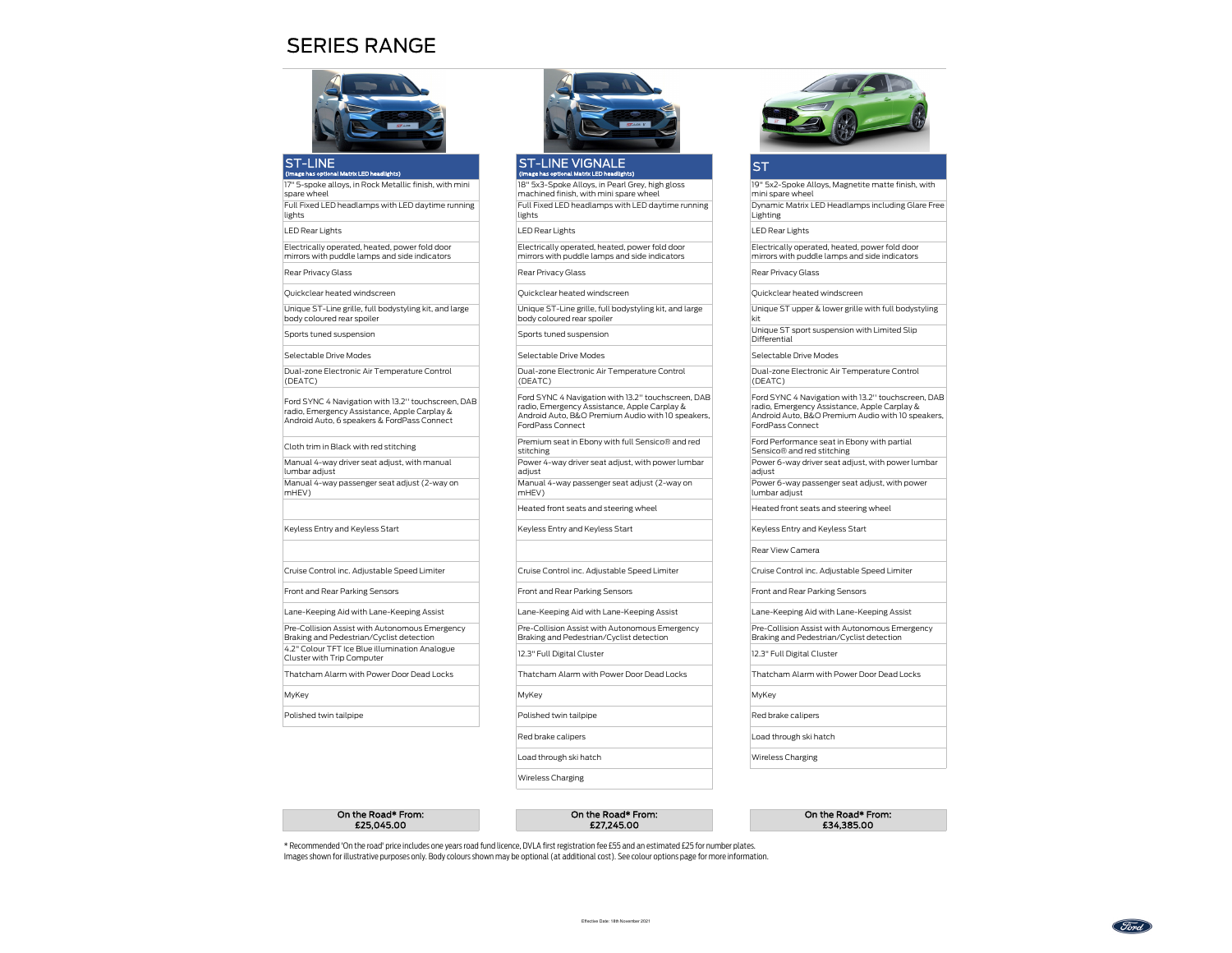## SERIES RANGE



#### ST-LINE(Image has optional Matrix LED headlights)

 17" 5-spoke alloys, in Rock Metallic finish, with mini spare wheel

 Full Fixed LED headlamps with LED daytime running lights

LED Rear Lights

Electrically operated, heated, power fold door mirrors with puddle lamps and side indicators

Rear Privacy Glass

Quickclear heated windscreen

Unique ST-Line grille, full bodystyling kit, and large body coloured rear spoiler

Sports tuned suspension

Selectable Drive Modes

Dual-zone Electronic Air Temperature Control (DEATC)

Ford SYNC 4 Navigation with 13.2'' touchscreen, DAB radio, Emergency Assistance, Apple Carplay & Android Auto, 6 speakers & FordPass Connect

Cloth trim in Black with red stitching

Manual 4-way driver seat adjust, with manual lumbar adjust

 Manual 4-way passenger seat adjust (2-way on mHEV)

#### Keyless Entry and Keyless Start

Front and Rear Parking Sensors

Pre-Collision Assist with Autonomous Emergency

Braking and Pedestrian/Cyclist detection4.2" Colour TFT Ice Blue illumination Analogue

Cluster with Trip Computer

MyKey

Polished twin tailpipe



#### ST-LINE VIGNALE(Image has optional Matrix LED headlights)

 18" 5x3-Spoke Alloys, in Pearl Grey, high gloss machined finish, with mini spare wheel Full Fixed LED headlamps with LED daytime running lights

s the contract of the LED Rear Lights that the contract of the LED Rear Lights that the LED Rear Lights that the LED Rear Lights that the LED Rear Lights that the LED Rear Lights that the LED Rear Lights that the LED Rear

Electrically operated, heated, power fold door mirrors with puddle lamps and side indicators

Quickclear heated windscreen Quickclear heated windscreen

Unique ST-Line grille, full bodystyling kit, and large body coloured rear spoiler

Dual-zone Electronic Air Temperature Control (DEATC)

Ford SYNC 4 Navigation with 13.2'' touchscreen, DAB radio, Emergency Assistance, Apple Carplay & Android Auto, B&O Premium Audio with 10 speakers, FordPass Connect

Premium seat in Ebony with full Sensico® and red stitching

Power 4-way driver seat adjust, with power lumbar adjust

 Manual 4-way passenger seat adjust (2-way on mHEV)

Keyless Entry and Keyless Start Keyless Entry and Keyless Start

Cruise Control inc. Adjustable Speed Limiter Cruise Control inc. Adjustable Speed Limiter Cruise Control inc. Adjustable Speed Limiter

Front and Rear Parking Sensors Front and Rear Parking Sensors Front and Rear Parking Sensors

Lane-Keeping Aid with Lane-Keeping Assist Lane-Keeping Aid with Lane-Keeping Assist Lane-Keeping Aid with Lane-Keeping Assist Pre-Collision Assist with Autonomous Emergency

Braking and Pedestrian/Cyclist detection

y the control of the MyKey MyKey (MyKey MyKey MyKey MyKey MyKey MyKey MyKey MyKey MyKey MyKey MyKey MyKey MyKey MyKey MyKey MyKey MyKey MyKey MyKey MyKey MyKey MyKey MyKey MyKey MyKey MyKey MyKey MyKey MyKey MyKey MyKey My

Polished twin tailpipe **Red brake calipers** Red brake calipers

Red brake calipers

Load through ski hatch

Wireless Charging

### **ST**

kit

 19" 5x2-Spoke Alloys, Magnetite matte finish, with mini spare wheelDynamic Matrix LED Headlamps including Glare Free

Lighting

Electrically operated, heated, power fold door mirrors with puddle lamps and side indicators

Rear Privacy Glass Rear Privacy Glass

Unique ST upper & lower grille with full bodystyling

Sports tuned suspension Unique ST sport suspension with Limited Slip Differential

Selectable Drive Modes **Selectable Drive Modes** 

Dual-zone Electronic Air Temperature Control (DEATC)

Ford SYNC 4 Navigation with 13.2'' touchscreen, DAB radio, Emergency Assistance, Apple Carplay & Android Auto, B&O Premium Audio with 10 speakers, FordPass Connect

Ford Performance seat in Ebony with partial Sensico® and red stitching

Power 6-way driver seat adjust, with power lumbar adiust

 Power 6-way passenger seat adjust, with power lumbar adjust

Heated front seats and steering wheel Heated front seats and steering wheel

Rear View Camera

Pre-Collision Assist with Autonomous Emergency Braking and Pedestrian/Cyclist detection

12.3" Full Digital Cluster 12.3" Full Digital Cluster

Thatcham Alarm with Power Door Dead Locks Thatcham Alarm with Power Door Dead Locks Thatcham Alarm with Power Door Dead Locks

## Load through ski hatch

Wireless Charging

On the Road\* From:£25,045.00

#### On the Road\* From: On the Road\* From: £27,245.00 £34,385.00

\* Recommended 'On the road' price includes one years road fund licence, DVLA first registration fee £55 and an estimated £25 for number plates.Images shown for illustrative purposes only. Body colours shown may be optional (at additional cost). See colour options page for more information.

Find.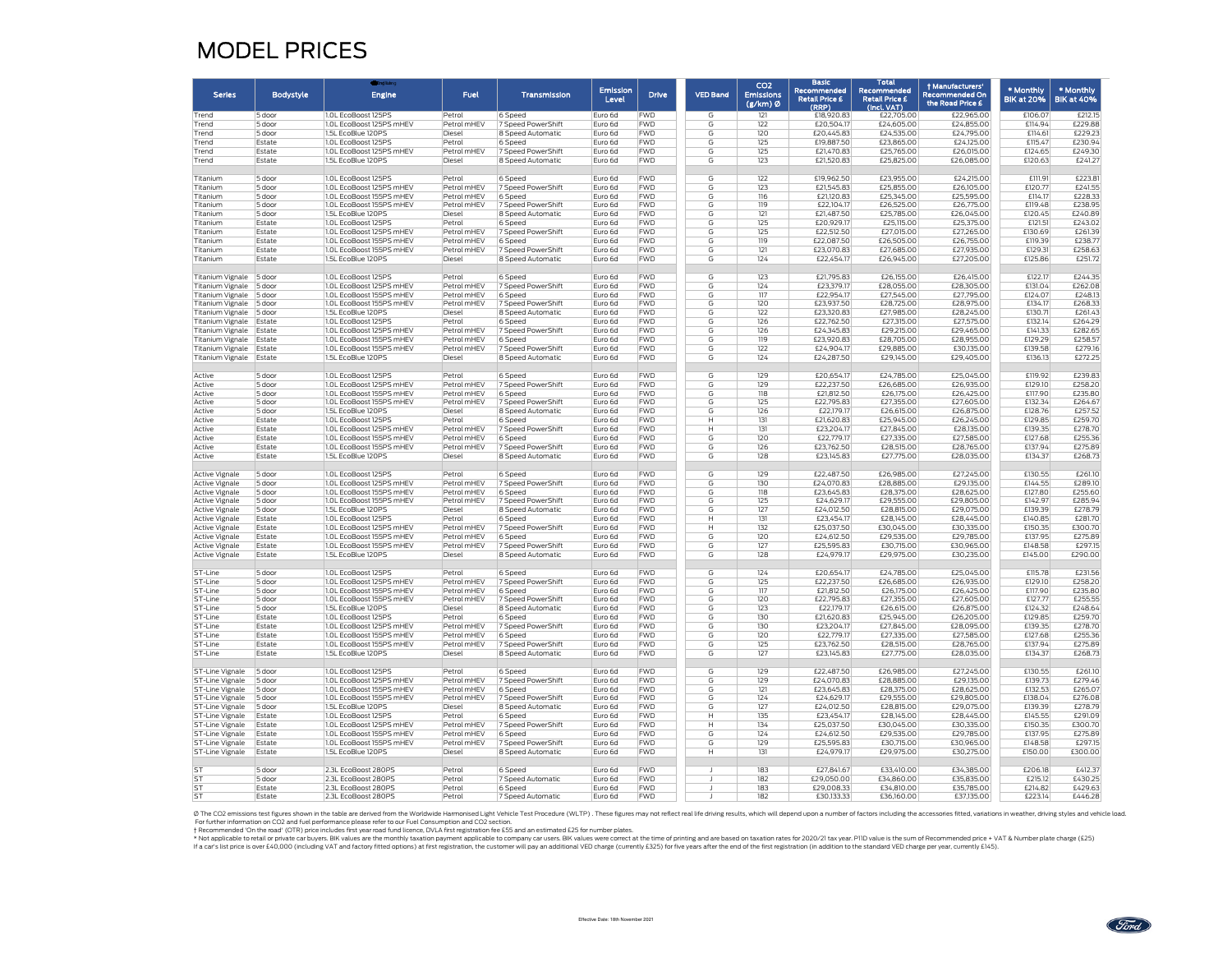## MODEL PRICES

|                                    |                  |                                                      |                            |                                         |                          |                          |                 | CO <sub>2</sub>              | <b>Basic</b>                                  | Total                                               | + Manufacturers'                          |                                |                                |
|------------------------------------|------------------|------------------------------------------------------|----------------------------|-----------------------------------------|--------------------------|--------------------------|-----------------|------------------------------|-----------------------------------------------|-----------------------------------------------------|-------------------------------------------|--------------------------------|--------------------------------|
| <b>Serles</b>                      | <b>Bodystyle</b> | <b>Engine</b>                                        | Fuel                       | Transmission                            | <b>Emission</b><br>Level | <b>Drive</b>             | <b>VED Band</b> | <b>Emissions</b><br>(g/km) Ø | Recommended<br><b>Retail Price £</b><br>(RRP) | Recommended<br><b>Retail Price £</b><br>(Incl. VAT) | <b>Recommended On</b><br>the Road Price £ | * Monthly<br><b>BIK at 20%</b> | * Monthly<br><b>BIK at 40%</b> |
| Trend                              | 5 door           | 1.0L EcoBoost 125PS                                  | Petrol                     | 6 Speed                                 | Furo 6d                  | <b>FWD</b>               | G               | 121                          | £18,920.83                                    | £22,705.00                                          | £22,965.00                                | £106.07                        | £212.15                        |
| Trend                              | 5 door           | 1.0L EcoBoost 125PS mHEV                             | Petrol mHEV                | 7 Speed PowerShift                      | Euro 6d                  | <b>FWD</b>               | G               | 122                          | £20,504.17                                    | £24,605.00                                          | £24,855.00                                | £114.94                        | £229.88                        |
| Trend                              | 5 door           | 1.5L EcoBlue 120PS                                   | Diesel                     | 8 Speed Automatic                       | Euro 6d                  | <b>FWD</b>               | G               | 120                          | £20,445.83                                    | £24,535.00                                          | £24,795.00                                | £114.61                        | £229.23                        |
| Trend                              | Estate           | 1.0L EcoBoost 125PS                                  | Petrol                     | 6 Speed                                 | Furo 6d                  | <b>FWD</b>               | G               | 125                          | £19,887.50                                    | £23,865.00                                          | £24,125.00                                | £115.47                        | £230.94                        |
| Trend                              | Estate           | 1.0L EcoBoost 125PS mHEV                             | Petrol mHEV                | 7 Speed PowerShift                      | Euro 6d                  | <b>FWD</b>               | G               | 125                          | £21,470.83                                    | £25,765.00                                          | £26,015.00                                | £124.65                        | £249.30                        |
| Trend                              | Estate           | 1.5L EcoBlue 120PS                                   | Diesel                     | 8 Speed Automatic                       | Euro 6d                  | <b>FWD</b>               | G               | 123                          | £21,520.83                                    | £25,825.00                                          | £26,085.00                                | £120.63                        | £241.27                        |
| Titanium                           | 5 door           | 1.0L EcoBoost 125PS                                  | Petrol                     | 6 Speed                                 | Euro 6d                  | <b>FWD</b>               | G               | 122                          | £19,962.50                                    | £23,955.00                                          | £24,215.00                                | £111.91                        | £223.8                         |
| Titanium                           | 5 door           | 1.0L EcoBoost 125PS mHEV                             | Petrol mHEV                | 7 Speed PowerShift                      | Euro 6d                  | <b>FWD</b><br><b>FWD</b> | G               | 123                          | £21,545.83                                    | £25,855,00                                          | £26,105.00                                | £120.77                        | £241.55                        |
| Titanium<br>Titanium               | 5 door<br>5 door | 1.0L EcoBoost 155PS mHEV<br>1.0L EcoBoost 155PS mHEV | Petrol mHEV<br>Petrol mHEV | 6 Speed<br>7 Speed PowerShift           | Euro 6d<br>Euro 6d       | <b>FWD</b>               | G<br>G          | 116<br>119                   | £21,120.83<br>£22,104.17                      | £25,345.00<br>£26,525.00                            | £25,595.00<br>£26,775.00                  | £114.17<br>£119.48             | £228.33<br>£238.95             |
| Titanium                           | 5 door           | 1.5L EcoBlue 120PS                                   | Diesel                     | 8 Speed Automatic                       | Euro 6d                  | <b>FWD</b>               | G               | 121                          | £21,487.50                                    | £25,785.00                                          | £26,045.00                                | £120.45                        | £240.89                        |
| Titanium                           | Estate           | 1.0L EcoBoost 125PS                                  | Petrol                     | 6 Speed                                 | Euro 6d                  | <b>FWD</b>               | G               | 125                          | £20,929.17                                    | £25,115.00                                          | £25,375.00                                | £121.51                        | £243.02                        |
| Titanium                           | Estate           | 1.0L EcoBoost 125PS mHEV                             | Petrol mHEV                | 7 Speed PowerShift                      | Euro 6d                  | <b>FWD</b>               | G               | 125                          | £22,512.50                                    | £27,015.00                                          | £27,265.00                                | £130.69                        | £261.39                        |
| Titanium                           | Estate           | 1.0L EcoBoost 155PS mHEV                             | Petrol mHEV                | 6 Speed                                 | Euro 6d                  | <b>FWD</b>               | G               | 119                          | £22,087.50                                    | £26,505.00                                          | £26,755.00                                | £119.39                        | £238.7                         |
| Titanium                           | Estate           | 1.0L EcoBoost 155PS mHEV                             | Petrol mHEV                | 7 Speed PowerShift                      | Euro 6d                  | <b>FWD</b>               | G               | 121                          | £23,070.83                                    | £27,685.00                                          | £27,935.00                                | £129.31                        | £258.63                        |
| Titanium                           | Estate           | 1.5L EcoBlue 120PS                                   | Diesel                     | 8 Speed Automatic                       | Euro 6d                  | <b>FWD</b>               | G               | 124                          | £22,454.17                                    | £26,945.00                                          | £27,205.00                                | £125.86                        | £251.72                        |
| Titanium Vignale 5 door            |                  | 1.0L EcoBoost 125PS                                  | Petrol                     | 6 Speed                                 | Euro 6d                  | <b>FWD</b>               | G               | 123                          | £21,795.83                                    | £26,155.00                                          | £26,415.00                                | £122.17                        | £244.35                        |
| Titanium Vignale 5 door            |                  | 1.0L EcoBoost 125PS mHEV                             | Petrol mHEV                | 7 Speed PowerShift                      | Furo 6d                  | <b>FWD</b>               | G               | 124                          | £23,379.17                                    | £28,055.00                                          | £28,305.00                                | £131.04                        | £262.08                        |
| Titanium Vignale 5 door            |                  | 1.0L EcoBoost 155PS mHEV                             | Petrol mHEV                | 6 Speed                                 | Euro 6d                  | <b>FWD</b>               | G               | 117                          | £22,954.17                                    | £27,545.00                                          | £27,795.00                                | £124.07                        | £248.13                        |
| Titanium Vignale 5 door            |                  | 1.0L EcoBoost 155PS mHEV                             | Petrol mHEV                | 7 Speed PowerShift                      | Euro 6d                  | <b>FWD</b>               | G               | 120                          | £23,937.50                                    | £28,725.00                                          | £28,975.00                                | £134.17                        | £268.33                        |
| Titanium Vignale 5 door            |                  | 1.5L EcoBlue 120PS                                   | Diesel                     | 8 Speed Automatic                       | Furo 6d                  | <b>FWD</b>               | G               | 122                          | £23,320,83                                    | £27,985.00                                          | £28,245.00                                | £130.71                        | £261.43                        |
| Titanium Vignale Estate            |                  | 1.0L EcoBoost 125PS                                  | Petrol                     | 6 Speed                                 | Euro 6d                  | <b>FWD</b>               | G               | 126                          | £22,762.50                                    | £27,315.00                                          | £27,575.00                                | £132.14                        | £264.29                        |
| Titanium Vignale Estate            |                  | 1.0L EcoBoost 125PS mHEV                             | Petrol mHEV                | 7 Speed PowerShift                      | Euro 6d                  | <b>FWD</b>               | G               | 126                          | £24,345.83                                    | £29,215.00                                          | £29,465.00                                | £141.33                        | £282.65                        |
| Titanium Vignale Estate            |                  | 1.0L EcoBoost 155PS mHEV                             | Petrol mHEV                | 6 Speed                                 | Euro 6d                  | <b>FWD</b>               | G               | 119                          | £23,920.83                                    | £28,705.00                                          | £28,955.00                                | £129.29                        | £258.57                        |
| Titanium Vignale Estate            |                  | 1.0L EcoBoost 155PS mHEV                             | Petrol mHEV                | 7 Speed PowerShift                      | Euro 6d                  | <b>FWD</b>               | G               | 122                          | £24,904.17                                    | £29,885.00                                          | £30,135.00                                | £139.58                        | £279.16                        |
| Titanium Vignale Estate            |                  | 1.5L EcoBlue 120PS                                   | Diesel                     | 8 Speed Automatic                       | Euro 6d                  | <b>FWD</b>               | G               | 124                          | £24,287.50                                    | £29,145.00                                          | £29,405.00                                | £136.13                        | £272.25                        |
| Active                             | 5 door           | 1.0L EcoBoost 125PS                                  | Petrol                     | 6 Sneed                                 | Furo 6d                  | <b>FWD</b>               | G               | 129                          | £20,654.17                                    | £24,785.00                                          | £25,045.00                                | £119.92                        | £239.83                        |
| Active                             | 5 door           | 1.0L EcoBoost 125PS mHEV                             | Petrol mHEV                | 7 Speed PowerShift                      | Euro 6d                  | <b>FWD</b>               | G               | 129                          | £22,237.50                                    | £26,685.00                                          | £26,935.00                                | £129.10                        | £258.20                        |
| Active                             | 5 door           | 1.0L EcoBoost 155PS mHEV                             | Petrol mHEV                | 6 Speed                                 | Euro 6d                  | <b>FWD</b>               | G               | 118                          | £21,812.50                                    | £26,175.00                                          | £26,425.00                                | £117.90                        | £235.80                        |
| Active                             | 5 door           | 1.0L EcoBoost 155PS mHEV                             | Petrol mHFV                | 7 Speed PowerShift                      | Furo 6d                  | <b>FWD</b>               | G               | 125                          | £22,795.83                                    | £27,355,00                                          | £27,605,00                                | £132.34                        | £264.67                        |
| Active                             | 5 door           | 1.5L EcoBlue 120PS                                   | Diesel                     | 8 Speed Automatic                       | Euro 6d                  | <b>FWD</b>               | G               | 126                          | £22,179.17                                    | £26,615.00                                          | £26,875.00                                | £128.76                        | £257.52                        |
| Active                             | Estate           | 1.0L EcoBoost 125PS                                  | Petrol                     | 6 Speed                                 | Euro 6d                  | <b>FWD</b>               | н               | 131                          | £21,620.83                                    | £25,945.00                                          | £26,245.00                                | £129.85                        | £259.70                        |
| Active                             | Estate           | 1.0L EcoBoost 125PS mHEV                             | Petrol mHEV                | 7 Speed PowerShift                      | Euro 6d                  | <b>FWD</b>               | H               | 131                          | £23,204.17                                    | £27,845.00                                          | £28,135.00                                | £139.35                        | £278.70                        |
| Active<br>Active                   | Estate<br>Estate | 1.0L EcoBoost 155PS mHEV<br>1.0L EcoBoost 155PS mHEV | Petrol mHEV<br>Petrol mHEV | 6 Speed<br>7 Speed PowerShift           | Euro 6d<br>Euro 6d       | <b>FWD</b><br><b>FWD</b> | G<br>G          | 120<br>126                   | £22,779.17<br>£23,762.50                      | £27,335.00<br>£28,515.00                            | £27,585.00<br>£28,765.00                  | £127.68<br>£137.94             | £255.36<br>£275.89             |
| Active                             | Estate           | 1.5L EcoBlue 120PS                                   | Diesel                     | 8 Speed Automatic                       | Euro 6d                  | <b>FWD</b>               | G               | 128                          | £23,145.83                                    | £27,775.00                                          | £28,035.00                                | £134.37                        | £268.73                        |
|                                    |                  |                                                      |                            |                                         |                          |                          |                 |                              |                                               |                                                     |                                           |                                |                                |
| Active Vignale                     | 5 door<br>5 door | 1.0L EcoBoost 125PS<br>1.01 FroBoost 125PS mHFV      | Petrol<br>Petrol mHEV      | 6 Speed<br>7 Speed PowerShift           | Euro 6d<br>Euro 6d       | <b>FWD</b><br><b>FWD</b> | G<br>G          | 129<br>130                   | £22,487.50<br>£24,070.83                      | £26,985.00<br>£28,885.00                            | £27,245.00<br>£29,135.00                  | £130.55<br>£144.55             | £261.10<br>£289.10             |
| Active Vignale<br>Active Vignale   | 5 door           | 1.0L EcoBoost 155PS mHEV                             | Petrol mHFV                | 6 Speed                                 | Furo 6d                  | <b>FWD</b>               | G               | 118                          | £23.645.83                                    | £28,375.00                                          | £28,625.00                                | £127.80                        | £255.60                        |
| Active Vignale                     | 5 door           | 1.0L EcoBoost 155PS mHEV                             | Petrol mHEV                | 7 Speed PowerShift                      | Euro 6d                  | <b>FWD</b>               | G               | 125                          | £24,629.17                                    | £29,555.00                                          | £29,805.00                                | £142.97                        | £285.94                        |
| Active Vignale                     | 5 door           | 1.5L EcoBlue 120PS                                   | Diesel                     | 8 Speed Automatic                       | Euro 6d                  | <b>FWD</b>               | G               | 127                          | £24.012.50                                    | £28,815.00                                          | £29.075.00                                | £139.39                        | £278.79                        |
| Active Vignale                     | Estate           | 1.0L EcoBoost 125PS                                  | Petrol                     | 6 Speed                                 | Euro 6d                  | <b>FWD</b>               | H               | 131                          | £23,454.17                                    | £28,145.00                                          | £28,445.00                                | £140.85                        | £281.70                        |
| <b>Active Vignale</b>              | Estate           | 1.0L EcoBoost 125PS mHEV                             | Petrol mHEV                | 7 Speed PowerShift                      | Euro 6d                  | <b>FWD</b>               | н               | 132                          | £25,037.50                                    | £30,045.00                                          | £30,335.00                                | £150.35                        | £300.70                        |
| Active Vignale                     | Estate           | 1.0L EcoBoost 155PS mHEV                             | Petrol mHEV                | 6 Speed                                 | Euro 6d                  | <b>FWD</b>               | G               | 120                          | £24,612.50                                    | £29,535.00                                          | £29,785.00                                | £137.95                        | £275.89                        |
| Active Vignale                     | Estate           | 1.0L EcoBoost 155PS mHEV                             | Petrol mHEV                | 7 Speed PowerShift                      | Euro 6d                  | <b>FWD</b>               | G               | 127                          | £25,595.83                                    | £30,715.00                                          | £30,965.00                                | £148.58                        | £297.15                        |
| Active Vignale                     | Estate           | 1.5L EcoBlue 120PS                                   | Diesel                     | 8 Speed Automatic                       | Euro 6d                  | <b>FWD</b>               | G               | 128                          | £24,979.17                                    | £29,975.00                                          | £30,235.00                                | £145.00                        | £290.00                        |
| ST-Line                            | 5 door           | 1.0L EcoBoost 125PS                                  | Petrol                     | 6 Speed                                 | Euro 6d                  | <b>FWD</b>               | G               | 124                          | £20,654.17                                    | £24.785.00                                          | £25,045,00                                | £115.78                        | £231.56                        |
| ST-Line                            | 5 door           | 1.0L EcoBoost 125PS mHEV                             | Petrol mHEV                | 7 Speed PowerShift                      | Euro 6d                  | <b>FWD</b>               | G               | 125                          | £22,237.50                                    | £26,685.00                                          | £26,935.00                                | £129.10                        | £258.20                        |
| ST-Line                            | 5 door           | 1.0L EcoBoost 155PS mHEV                             | Petrol mHEV                | 6 Speed                                 | Euro 6d                  | <b>FWD</b>               | G               | 117                          | £21,812.50                                    | £26,175.00                                          | £26,425.00                                | £117.90                        | £235.80                        |
| ST-Line                            | 5 door           | 1.0L EcoBoost 155PS mHEV                             | Petrol mHEV                | 7 Speed PowerShift                      | Euro 6d                  | <b>FWD</b>               | G               | 120                          | £22,795.83                                    | £27,355.00                                          | £27,605.00                                | £127.77                        | £255.55                        |
| ST-Line                            | 5 door           | 1.5L EcoBlue 120PS                                   | Diesel                     | 8 Speed Automatic                       | Euro 6d                  | <b>FWD</b>               | G               | 123                          | £22,179.17                                    | £26,615.00                                          | £26,875.00                                | £124.32                        | £248.64                        |
| ST-Line                            | Estate           | 1.0L EcoBoost 125PS                                  | Petrol                     | 6 Speed                                 | Euro 6d                  | <b>FWD</b>               | G               | 130                          | £21,620.83                                    | £25,945.00                                          | £26,205.00                                | £129.85                        | £259.70                        |
| ST-Line                            | Estate           | 1.0L EcoBoost 125PS mHEV                             | Petrol mHEV                | 7 Speed PowerShift                      | Euro 6d                  | <b>FWD</b>               | G               | 130                          | £23.204.17                                    | £27,845.00                                          | £28,095,00                                | £139.35                        | £278.70                        |
| ST-Line                            | Estate           | 1.0L EcoBoost 155PS mHEV                             | Petrol mHEV                | 6 Speed                                 | Euro 6d                  | <b>FWD</b>               | G               | 120                          | £22,779.17                                    | £27,335.00                                          | £27,585.00                                | £127.68                        | £255.36                        |
| ST-Line<br>ST-Line                 | Estate<br>Estate | 1.0L EcoBoost 155PS mHEV<br>1.5L EcoBlue 120PS       | Petrol mHEV<br>Diesel      | 7 Speed PowerShift<br>8 Speed Automatic | Euro 6d<br>Euro 6d       | <b>FWD</b><br><b>FWD</b> | G<br>G          | 125<br>127                   | £23,762.50<br>£23,145.83                      | £28,515.00<br>£27,775.00                            | £28,765.00<br>£28,035.00                  | £137.94<br>£134.37             | £275.89<br>£268.73             |
|                                    |                  |                                                      |                            |                                         |                          |                          |                 |                              |                                               |                                                     |                                           |                                |                                |
| ST-Line Vignale<br>ST-Line Vignale | 5 door<br>5 door | 1.0L EcoBoost 125PS<br>1.0L EcoBoost 125PS mHEV      | Petrol<br>Petrol mHEV      | 6 Speed<br>7 Speed PowerShift           | Euro 6d<br>Euro 6d       | <b>FWD</b><br><b>FWD</b> | G<br>G          | 129<br>129                   | £22,487.50<br>£24,070.83                      | £26,985.00<br>£28,885.00                            | £27,245.00<br>£29,135.00                  | £130.55<br>£139.73             | £261.10<br>£279.46             |
| ST-Line Vignale                    | 5 door           | 1.0L EcoBoost 155PS mHEV                             | Petrol mHEV                | 6 Speed                                 | Euro 6d                  | <b>FWD</b>               | G               | 121                          | £23,645.83                                    | £28,375.00                                          | £28,625.00                                | £132.53                        | £265.07                        |
| ST-Line Vignale                    | 5 door           | 1.0L EcoBoost 155PS mHEV                             | Petrol mHEV                | 7 Speed PowerShift                      | Euro 6d                  | <b>FWD</b>               | G               | 124                          | £24,629.17                                    | £29,555.00                                          | £29,805.00                                | £138.04                        | £276.08                        |
| ST-Line Vignale                    | 5 door           | 1.5L EcoBlue 120PS                                   | Diesel                     | 8 Speed Automatic                       | Euro 6d                  | <b>FWD</b>               | G               | 127                          | £24,012.50                                    | £28,815.00                                          | £29,075.00                                | £139.39                        | £278.79                        |
| ST-Line Vignale                    | Estate           | 1.0L EcoBoost 125PS                                  | Petrol                     | 6 Speed                                 | Euro 6d                  | <b>FWD</b>               | н               | 135                          | £23,454.17                                    | £28,145,00                                          | £28,445.00                                | £145.55                        | £291.09                        |
| ST-Line Vignale                    | Estate           | 1.0L EcoBoost 125PS mHEV                             | Petrol mHEV                | 7 Speed PowerShift                      | Furo 6d                  | <b>FWD</b>               | H               | 134                          | £25,037.50                                    | £30,045,00                                          | £30,335.00                                | £150.35                        | £300.70                        |
| ST-Line Vignale                    | Estate           | 1.0L EcoBoost 155PS mHEV                             | Petrol mHEV                | 6 Speed                                 | Euro 6d                  | <b>FWD</b>               | G               | 124                          | £24,612.50                                    | £29,535.00                                          | £29,785.00                                | £137.95                        | £275.89                        |
| ST-Line Vignale                    | Estate           | 1.0L EcoBoost 155PS mHEV                             | Petrol mHEV                | 7 Speed PowerShift                      | Euro 6d                  | <b>FWD</b>               | G               | 129                          | £25,595.83                                    | £30,715.00                                          | £30,965.00                                | £148.58                        | £297.15                        |
| ST-Line Vignale                    | Estate           | 1.5L EcoBlue 120PS                                   | Diesel                     | 8 Speed Automatic                       | Furo 6d                  | <b>FWD</b>               | H               | 131                          | £24,979.17                                    | £29,975.00                                          | £30,275.00                                | £150.00                        | £300.00                        |
| <b>ST</b>                          | 5 door           | 2.3L EcoBoost 280PS                                  | Petrol                     | 6 Speed                                 | Euro 6d                  | <b>FWD</b>               |                 | 183                          | £27,841.67                                    | £33,410.00                                          | £34,385.00                                | £206.18                        | £412.37                        |
| <b>ST</b>                          | 5 door           | 2.3L EcoBoost 280PS                                  | Petrol                     | 7 Speed Automatic                       | Furo 6d                  | <b>FWD</b>               |                 | 182                          | £29,050.00                                    | £34,860.00                                          | £35,835.00                                | £215.12                        | £430.25                        |
| ST                                 | Estate           | 2.3L EcoBoost 280PS                                  | Petrol                     | 6 Speed                                 | Euro 6d                  | <b>FWD</b>               |                 | 183                          | £29,008.33                                    | £34,810.00                                          | £35,785.00                                | £214.82                        | £429.63                        |
| <b>ST</b>                          | Estate           | 2.3L EcoBoost 280PS                                  | Petrol                     | 7 Speed Automatic                       | Euro 6d                  | <b>FWD</b>               |                 | 182                          | £30,133.33                                    | £36,160.00                                          | £37,135.00                                | £223.14                        | £446.28                        |
|                                    |                  |                                                      |                            |                                         |                          |                          |                 |                              |                                               |                                                     |                                           |                                |                                |

O The CO2 emissions test figures shown in the table are derived from the Worldwide Harmonised Light Vehicle Test Procedure (WLTP). These figures may not reflect real life driving results, which will depend upon a number of For further information on CO2 and fuel performance please refer to our Fuel Consumption and CO2 section.<br>† Recommended On the computation of the state of the state of the face, DVLA fist registration fee £55 and an estima

If a car's list price is over £40,000 (including VAT and factory fitted options) at first registration, the customer will pay an additional VED charge (currently £325) for five years after the end of the first registration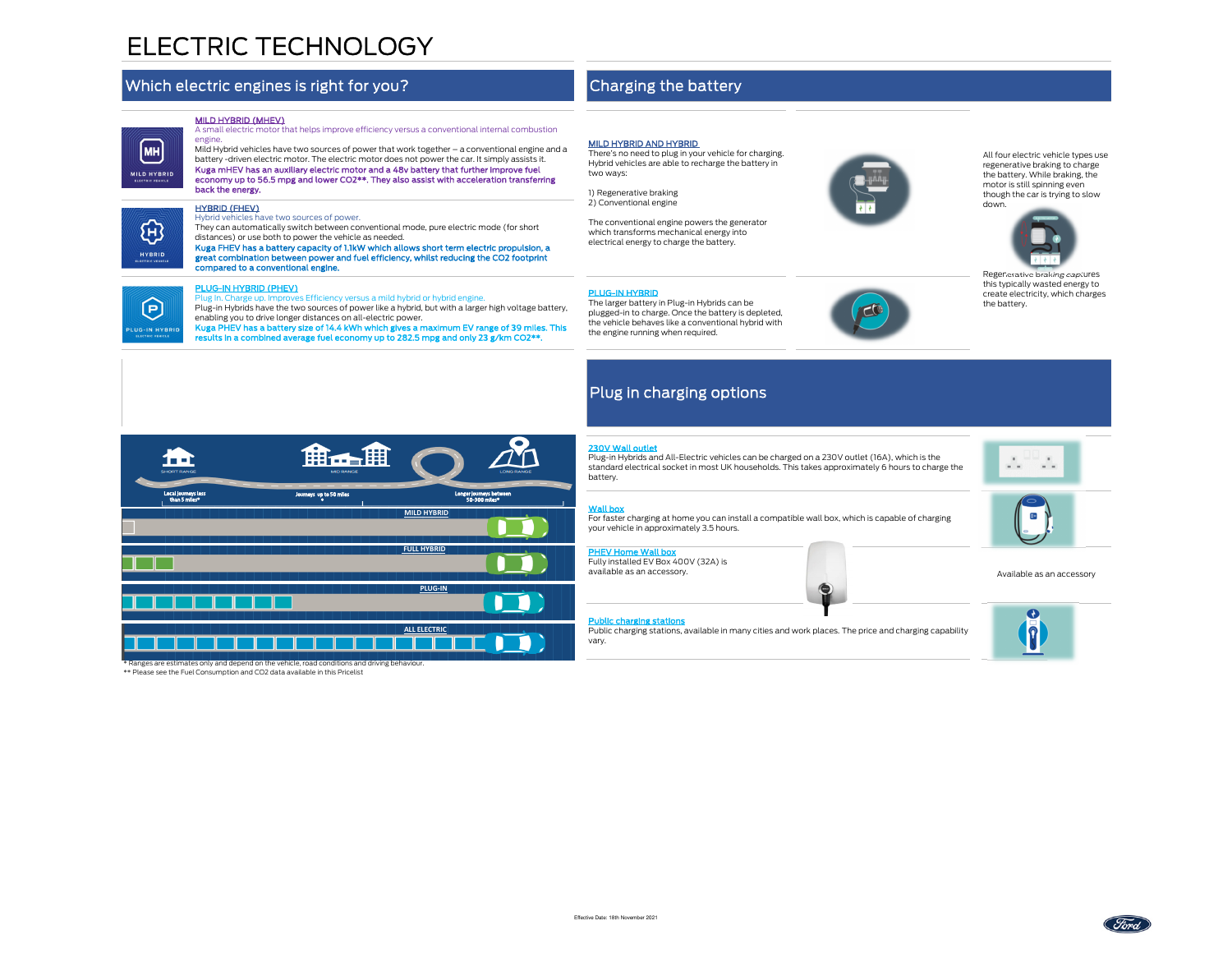# ELECTRIC TECHNOLOGY

## Which electric engines is right for you?

#### MILD HYBRID (MHEV)



#### HYBRID (FHEV)

Hybrid vehicles have two sources of power.

 They can automatically switch between conventional mode, pure electric mode (for short distances) or use both to power the vehicle as needed.

 Kuga FHEV has a battery capacity of 1.1kW which allows short term electric propulsion, a great combination between power and fuel efficiency, whilst reducing the CO2 footprint compared to a conventional engine.

臼 UG-IN HYBRI

MH

භූ

#### PLUG-IN HYBRID (PHEV)

\*\* Please see the Fuel Consumption and CO2 data available in this Pricelist

Plug In. Charge up. Improves Efficiency versus a mild hybrid or hybrid engine.

 Plug-in Hybrids have the two sources of power like a hybrid, but with a larger high voltage battery, enabling you to drive longer distances on all-electric power.

Kuga PHEV has a battery size of 14.4 kWh which gives a maximum EV range of 39 miles. This results in a combined average fuel economy up to 282.5 mpg and only 23 g/km CO2\*\*.

## Charging the battery

#### MILD HYBRID AND HYBRID

 There's no need to plug in your vehicle for charging. Hybrid vehicles are able to recharge the battery in two ways:

1) Regenerative braking2) Conventional engine

The conventional engine powers the generator which transforms mechanical energy into electrical energy to charge the battery.

## plugged-in to charge. Once the battery is depleted, the vehicle behaves like a conventional hybrid with

All four electric vehicle types use regenerative braking to charge the battery. While braking, the motor is still spinning even though the car is trying to slow down.



Regenerative braking captures this typically wasted energy to create electricity, which charges the battery.



## Plug in charging options

The larger battery in Plug-in Hybrids can be

the engine running when required.

#### 230V Wall outlet

PLUG-IN HYBRID

 Plug-in Hybrids and All-Electric vehicles can be charged on a 230V outlet (16A), which is the standard electrical socket in most UK households. This takes approximately 6 hours to charge the battery.

#### Wall box

 For faster charging at home you can install a compatible wall box, which is capable of charging your vehicle in approximately 3.5 hours.

#### PHEV Home Wall box

 Fully installed EV Box 400V (32A) is available as an accessory. Available as an accessory



Public charging stations

Public charging stations, available in many cities and work places. The price and charging capability

⊜







vary.

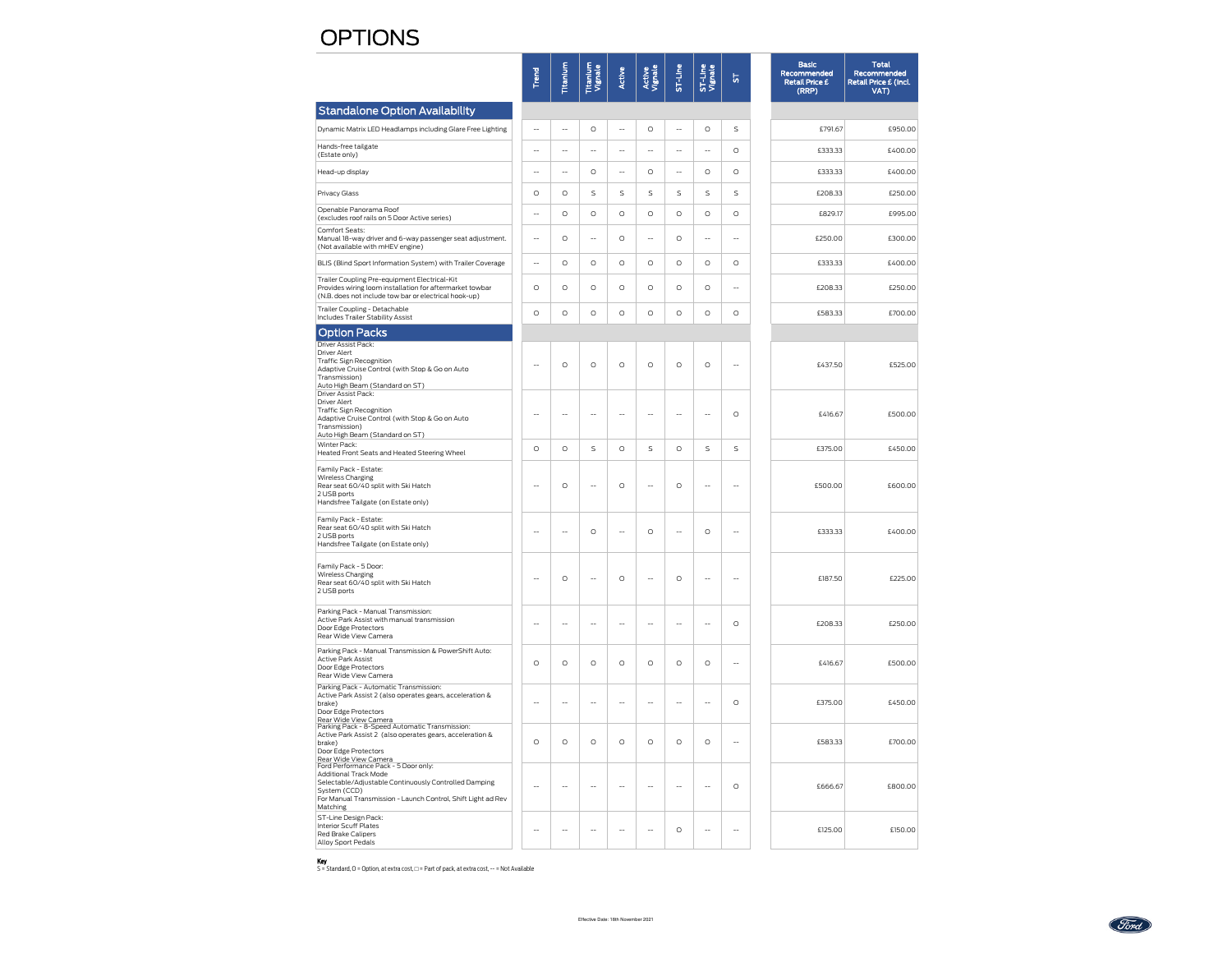## **OPTIONS**

|                                                                                                                                                                                                                           | Trend                    | Titanium | Titanium<br>Vignale | Active  | Active<br>Vignale | ST-Line     | ST-Line<br>Vignale | 5           | <b>Basic</b><br>Recommended<br><b>Retail Price £</b><br>(RRP) | <b>Total</b><br>Recommended<br>Retail Price £ (Incl.<br>VAT) |
|---------------------------------------------------------------------------------------------------------------------------------------------------------------------------------------------------------------------------|--------------------------|----------|---------------------|---------|-------------------|-------------|--------------------|-------------|---------------------------------------------------------------|--------------------------------------------------------------|
| <b>Standalone Option Availability</b>                                                                                                                                                                                     |                          |          |                     |         |                   |             |                    |             |                                                               |                                                              |
| Dynamic Matrix LED Headlamps including Glare Free Lighting                                                                                                                                                                |                          | ÷.       | O                   | $\sim$  | $\circ$           | $\sim$      | $\circ$            | $\mathsf S$ | £791.67                                                       | £950.00                                                      |
| Hands-free tailgate<br>(Estate only)                                                                                                                                                                                      | $\sim$                   | $\sim$   | ă.                  | à.      | u.                | à.          | ä.                 | $\circ$     | £333.33                                                       | £400.00                                                      |
| Head-up display                                                                                                                                                                                                           | $\overline{\phantom{a}}$ | ÷.       | $\circ$             | Ξ.      | O                 | ÷.          | $\circ$            | $\circ$     | £333.33                                                       | £400.00                                                      |
| Privacy Glass                                                                                                                                                                                                             | $\circ$                  | $\circ$  | S                   | S       | S                 | $\mathsf S$ | $\mathsf S$        | $\sf S$     | £208.33                                                       | £250.00                                                      |
| Openable Panorama Roof<br>(excludes roof rails on 5 Door Active series)                                                                                                                                                   | $\overline{\phantom{a}}$ | $\circ$  | $\circ$             | $\circ$ | $\circ$           | $\circ$     | $\circ$            | $\circ$     | £829.17                                                       | £995.00                                                      |
| Comfort Seats:<br>Manual 18-way driver and 6-way passenger seat adjustment.<br>(Not available with mHEV engine)                                                                                                           | L.                       | $\circ$  | Ц,                  | $\circ$ | L.                | $\circ$     | ÷.                 | L.          | £250.00                                                       | £300.00                                                      |
| BLIS (Blind Sport Information System) with Trailer Coverage                                                                                                                                                               | $\overline{\phantom{a}}$ | $\circ$  | O                   | $\circ$ | $\circ$           | $\circ$     | $\circ$            | $\circ$     | £333.33                                                       | £400.00                                                      |
| Trailer Coupling Pre-equipment Electrical-Kit<br>Provides wiring loom installation for aftermarket towbar<br>(N.B. does not include tow bar or electrical hook-up)                                                        | $\circ$                  | $\circ$  | $\circ$             | $\circ$ | $\circ$           | $\circ$     | $\circ$            |             | £208.33                                                       | £250.00                                                      |
| Trailer Coupling - Detachable<br><b>Includes Trailer Stability Assist</b>                                                                                                                                                 | $\circ$                  | $\circ$  | O                   | $\circ$ | $\circ$           | $\circ$     | $\circ$            | $\circ$     | £583.33                                                       | £700.00                                                      |
| Option Packs                                                                                                                                                                                                              |                          |          |                     |         |                   |             |                    |             |                                                               |                                                              |
| Driver Assist Pack:<br>Driver Alert<br><b>Traffic Sign Recognition</b><br>Adaptive Cruise Control (with Stop & Go on Auto<br>Transmission)<br>Auto High Beam (Standard on ST)<br>Driver Assist Pack:                      | $-$                      | $\circ$  | $\circ$             | $\circ$ | $\circ$           | $\circ$     | $\circ$            | ÷.          | £437.50                                                       | £525.00                                                      |
| Driver Alert<br><b>Traffic Sign Recognition</b><br>Adaptive Cruise Control (with Stop & Go on Auto<br>Transmission)<br>Auto High Beam (Standard on ST)                                                                    |                          | L.       | Ξ.                  |         |                   |             | ÷.                 | $\circ$     | £416.67                                                       | £500.00                                                      |
| Winter Pack:<br>Heated Front Seats and Heated Steering Wheel                                                                                                                                                              | $\circ$                  | $\circ$  | S                   | $\circ$ | $\mathsf S$       | $\circ$     | $\mathsf S$        | $\mathsf S$ | £375.00                                                       | £450.00                                                      |
| Family Pack - Estate:<br>Wireless Charging<br>Rear seat 60/40 split with Ski Hatch<br>2 USB ports<br>Handsfree Tailgate (on Estate only)                                                                                  | L.                       | $\circ$  | Ц,                  | $\circ$ | L.                | $\circ$     | L.                 | ÷.          | £500.00                                                       | £600.00                                                      |
| Family Pack - Estate:<br>Rear seat 60/40 split with Ski Hatch<br>2 USB ports<br>Handsfree Tailgate (on Estate only)                                                                                                       | $\sim$                   | ÷.       | O                   | $\sim$  | $\circ$           | $\sim$      | $\circ$            | ä,          | £333.33                                                       | £400.00                                                      |
| Family Pack - 5 Door:<br>Wireless Charging<br>Rear seat 60/40 split with Ski Hatch<br>2 USB ports                                                                                                                         | $\sim$                   | $\circ$  | Ц.                  | $\circ$ | ÷.                | $\circ$     | ÷.                 | ÷.          | £187.50                                                       | £225.00                                                      |
| Parking Pack - Manual Transmission:<br>Active Park Assist with manual transmission<br>Door Edge Protectors<br>Rear Wide View Camera                                                                                       |                          |          |                     |         |                   |             |                    | $\circ$     | £208.33                                                       | £250.00                                                      |
| Parking Pack - Manual Transmission & PowerShift Auto:<br><b>Active Park Assist</b><br>Door Edge Protectors<br>Rear Wide View Camera                                                                                       | $\circ$                  | $\circ$  | O                   | $\circ$ | O                 | $\circ$     | $\circ$            | Ц.          | £416.67                                                       | £500.00                                                      |
| Parking Pack - Automatic Transmission:<br>Active Park Assist 2 (also operates gears, acceleration &<br>brake)<br>Door Edge Protectors                                                                                     | ă.                       | ÷.       | L.                  | ÷.      | L.                | à.          | ä,                 | $\circ$     | £375.00                                                       | £450.00                                                      |
| Rear Wide View Camera<br>Parking Pack - 8-Speed Automatic Transmission:<br>Active Park Assist 2 (also operates gears, acceleration &<br>brake)<br>Door Edge Protectors<br>Rear Wide View Camera                           | $\circ$                  | O        | O                   | $\circ$ | $\circ$           | $\circ$     | $\circ$            | ш.          | £583.33                                                       | £700.00                                                      |
| Ford Performance Pack - 5 Door only:<br><b>Additional Track Mode</b><br>Selectable/Adjustable Continuously Controlled Damping<br>System (CCD)<br>For Manual Transmission - Launch Control, Shift Light ad Rev<br>Matching | $\sim$                   | $\sim$   | $\sim$              | $\sim$  | $\sim$            | $\sim$      | $\sim$             | $\circ$     | £666.67                                                       | £800.00                                                      |
| ST-Line Design Pack:<br><b>Interior Scuff Plates</b><br><b>Red Brake Calipers</b><br><b>Alloy Sport Pedals</b>                                                                                                            |                          |          |                     |         |                   | $\circ$     |                    |             | £125.00                                                       | £150.00                                                      |

**Key**<br>S = Standard, O = Option, at extra cost, □ = Part of pack, at extra cost, -- = Not Available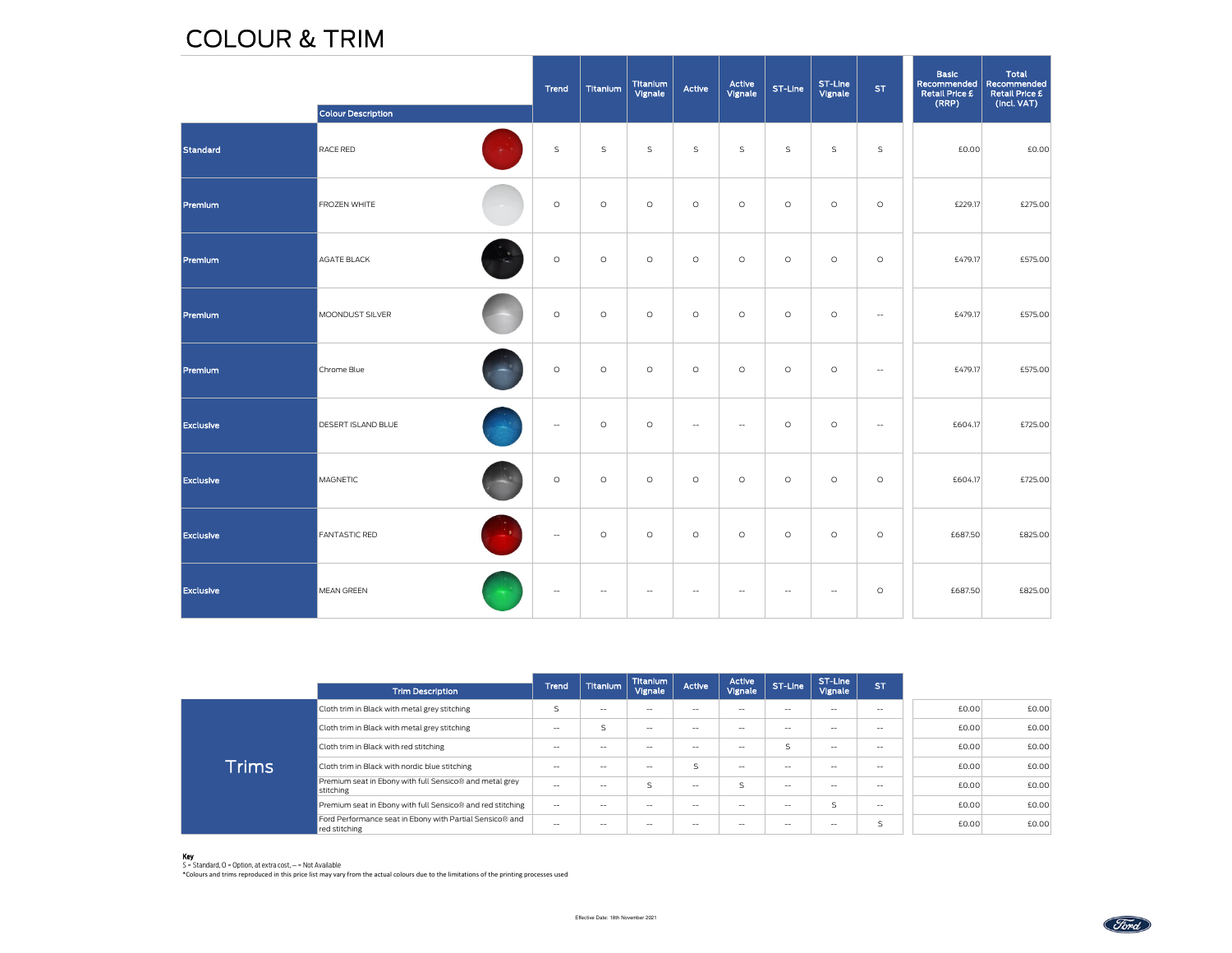## COLOUR & TRIM

|                  | <b>Colour Description</b>  | Trend                    | Titanium       | Titanium<br>Vignale | Active         | Active<br>Vignale | ST-Line                  | ST-Line<br>Vignale       | <b>ST</b>                | <b>Basic</b><br>Recommended<br>Retail Price £<br>(RRP) | <b>Total</b><br>Recommended<br><b>Retail Price £</b><br>(Incl. VAT) |
|------------------|----------------------------|--------------------------|----------------|---------------------|----------------|-------------------|--------------------------|--------------------------|--------------------------|--------------------------------------------------------|---------------------------------------------------------------------|
| Standard         | RACE RED                   | $\mathsf S$              | $\mathsf S$    | $\mathsf S$         | $\mathsf S$    | $\mathsf S$       | $\mathsf S$              | $\mathsf S$              | $\mathsf S$              | £0.00                                                  | £0.00                                                               |
| Premium          | FROZEN WHITE               | $\circ$                  | $\circ$        | $\circ$             | $\circ$        | $\circ$           | $\circ$                  | $\circ$                  | $\circ$                  | £229.17                                                | £275.00                                                             |
| Premlum          | AGATE BLACK                | $\circ$                  | $\circ$        | $\circ$             | $\circ$        | $\circ$           | $\circ$                  | $\circ$                  | $\circ$                  | £479.17                                                | £575.00                                                             |
| Premium          | MOONDUST SILVER            | $\circ$                  | $\circ$        | $\circ$             | $\circ$        | $\circ$           | $\circ$                  | $\circ$                  | $\overline{\phantom{a}}$ | £479.17                                                | £575.00                                                             |
| Premlum          | Chrome Blue                | $\circ$                  | $\circ$        | $\circ$             | $\circ$        | $\circ$           | $\circ$                  | O                        | $\overline{\phantom{a}}$ | £479.17                                                | £575.00                                                             |
| <b>Exclusive</b> | DESERT ISLAND BLUE         | $\hspace{0.05cm} \ldots$ | $\circ$        | $\circ$             | $\sim$         | $\sim$            | $\circ$                  | O                        | $\overline{\phantom{a}}$ | £604.17                                                | £725.00                                                             |
| <b>Exclusive</b> | <b>MAGNETIC</b>            | $\circ$                  | $\circ$        | $\circ$             | $\circ$        | $\circ$           | $\circ$                  | $\circ$                  | $\circ$                  | £604.17                                                | £725.00                                                             |
| <b>Exclusive</b> | "≯<br><b>FANTASTIC RED</b> | $\overline{\phantom{a}}$ | $\circ$        | $\circ$             | $\circ$        | $\circ$           | $\circ$                  | O                        | $\circ$                  | £687.50                                                | £825.00                                                             |
| <b>Exclusive</b> | <b>MEAN GREEN</b>          | $\qquad \qquad \qquad -$ | $\overline{a}$ | $\overline{a}$      | $\overline{a}$ | $\overline{a}$    | $\overline{\phantom{a}}$ | $\overline{\phantom{a}}$ | $\circ$                  | £687.50                                                | £825.00                                                             |

|              | <b>Trim Description</b>                                                   | Trend             | <b>Titanium</b>   | <b>Titanium</b><br>Vignale                     | Active                                         | Active<br>Vignale        | ST-Line                  | ST-Line<br>Vignale       | <b>ST</b>                |       |       |
|--------------|---------------------------------------------------------------------------|-------------------|-------------------|------------------------------------------------|------------------------------------------------|--------------------------|--------------------------|--------------------------|--------------------------|-------|-------|
| <b>Trims</b> | Cloth trim in Black with metal grey stitching                             |                   | $-$               | $-$                                            | $-$                                            | $-1$                     | $-1$                     | $- -$                    | $\sim$                   | £0.00 | £0.00 |
|              | Cloth trim in Black with metal grey stitching                             | $-$               | S                 | $- -$                                          | $- -$                                          | $- -$                    | $- -$                    | $- -$                    | $-$                      | £0.00 | £0.00 |
|              | Cloth trim in Black with red stitching                                    | $\sim$            | $\hspace{0.05cm}$ | $- -$                                          | $ -$                                           | $- -$                    |                          | $- -$                    | $\sim$                   | £0.00 | £0.00 |
|              | Cloth trim in Black with nordic blue stitching                            | $\hspace{0.05cm}$ | $\hspace{0.05cm}$ | $- -$                                          | $\overline{ }$<br>↘                            | $- -$                    | $- -$                    | $- -$                    | $\overline{\phantom{a}}$ | £0.00 | £0.00 |
|              | Premium seat in Ebony with full Sensico® and metal grey<br>stitching      | $-$               | $- -$             | $\overline{\mathsf{S}}$                        | $- -$                                          | $\overline{\mathbf{S}}$  | $- -$                    | $- -$                    | $- -$                    | £0.00 | £0.00 |
|              | Premium seat in Ebony with full Sensico® and red stitching                | $\hspace{0.05cm}$ | $- -$             | $- -$                                          | $- -$                                          | $- -$                    | $- -$                    | ς                        | $\overline{\phantom{a}}$ | £0.00 | £0.00 |
|              | Ford Performance seat in Ebony with Partial Sensico® and<br>red stitching | $\sim$            | $\hspace{0.05cm}$ | $\hspace{0.1mm}-\hspace{0.1mm}-\hspace{0.1mm}$ | $\hspace{0.1mm}-\hspace{0.1mm}-\hspace{0.1mm}$ | $\overline{\phantom{a}}$ | $\overline{\phantom{a}}$ | $\overline{\phantom{a}}$ | ς                        | £0.00 | £0.00 |

Key S = Standard, O = Option, at extra cost, ─ = Not Available \*Colours and trims reproduced in this price list may vary from the actual colours due to the limitations of the printing processes used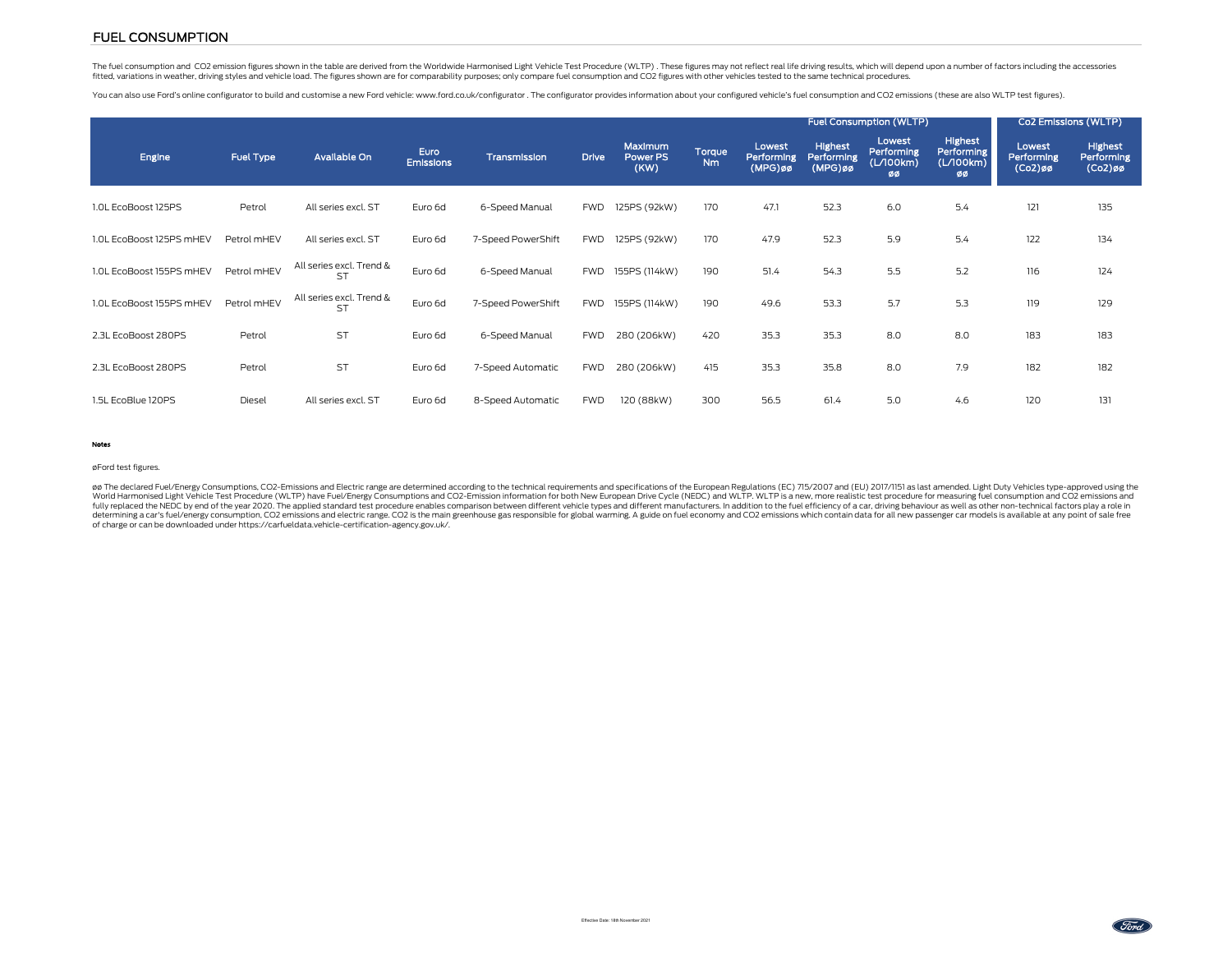## FUEL CONSUMPTION

The fuel consumption and CO2 emission figures shown in the table are derived from the Worldwide Harmonised Light Vehicle Test Procedure (WLTP). These figures may not reflect real life driving results, which will depend upo fitted, variations in weather, driving styles and vehicle load. The figures shown are for comparability purposes; only compare fuel consumption and CO2 figures with other vehicles tested to the same technical procedures.

You can also use Ford's online configurator to build and customise a new Ford vehicle: www.ford.co.uk/configurator . The configurator provides information about your configured vehicle's fuel consumption and CO2 emissions

|                          |                  |                                       |                          |                    |              |                             |                     |                                    | <b>Fuel Consumption (WLTP)</b>          |                                         | Co2 Emissions (WLTP)                            |                                    |                                     |
|--------------------------|------------------|---------------------------------------|--------------------------|--------------------|--------------|-----------------------------|---------------------|------------------------------------|-----------------------------------------|-----------------------------------------|-------------------------------------------------|------------------------------------|-------------------------------------|
| Engine                   | <b>Fuel Type</b> | Available On                          | Euro<br><b>Emissions</b> | Transmission       | <b>Drive</b> | Maximum<br>Power PS<br>(KW) | Torque<br><b>Nm</b> | Lowest<br>Performing<br>$(MPG)$ øø | <b>Highest</b><br>Performing<br>(MPG)øø | Lowest<br>Performing<br>(L/100km)<br>ØØ | <b>Highest</b><br>Performing<br>(L/100km)<br>øø | Lowest<br>Performing<br>$(Co2)$ øø | Highest<br>Performing<br>$(Co2)$ øø |
| 1.0L EcoBoost 125PS      | Petrol           | All series excl. ST                   | Euro 6d                  | 6-Speed Manual     | <b>FWD</b>   | 125PS (92kW)                | 170                 | 47.1                               | 52.3                                    | 6.0                                     | 5.4                                             | 121                                | 135                                 |
| 1.0L EcoBoost 125PS mHEV | Petrol mHEV      | All series excl. ST                   | Euro 6d                  | 7-Speed PowerShift | <b>FWD</b>   | 125PS (92kW)                | 170                 | 47.9                               | 52.3                                    | 5.9                                     | 5.4                                             | 122                                | 134                                 |
| 1.0L EcoBoost 155PS mHEV | Petrol mHEV      | All series excl. Trend &<br><b>ST</b> | Euro 6d                  | 6-Speed Manual     | <b>FWD</b>   | 155PS (114kW)               | 190                 | 51.4                               | 54.3                                    | 5.5                                     | 5.2                                             | 116                                | 124                                 |
| 1.0L EcoBoost 155PS mHEV | Petrol mHEV      | All series excl. Trend &<br>ST        | Euro 6d                  | 7-Speed PowerShift | <b>FWD</b>   | 155PS (114kW)               | 190                 | 49.6                               | 53.3                                    | 5.7                                     | 5.3                                             | 119                                | 129                                 |
| 2.3L EcoBoost 280PS      | Petrol           | <b>ST</b>                             | Euro 6d                  | 6-Speed Manual     | <b>FWD</b>   | 280 (206kW)                 | 420                 | 35.3                               | 35.3                                    | 8.0                                     | 8.0                                             | 183                                | 183                                 |
| 2.3L EcoBoost 280PS      | Petrol           | <b>ST</b>                             | Euro 6d                  | 7-Speed Automatic  | <b>FWD</b>   | 280 (206kW)                 | 415                 | 35.3                               | 35.8                                    | 8.0                                     | 7.9                                             | 182                                | 182                                 |
| 1.5L EcoBlue 120PS       | Diesel           | All series excl. ST                   | Euro 6d                  | 8-Speed Automatic  | <b>FWD</b>   | 120 (88kW)                  | 300                 | 56.5                               | 61.4                                    | 5.0                                     | 4.6                                             | 120                                | 131                                 |

#### Notes

#### øFord test figures.

øø The declared Fuel/Energy Consumptions, CO2-Emissions and Electric range are determined according to the technical requirements and specifications of the European Regulations (EC) 715/2007 and (EU) 2017/1151 as last ame of charge or can be downloaded under https://carfueldata.vehicle-certification-agency.gov.uk/.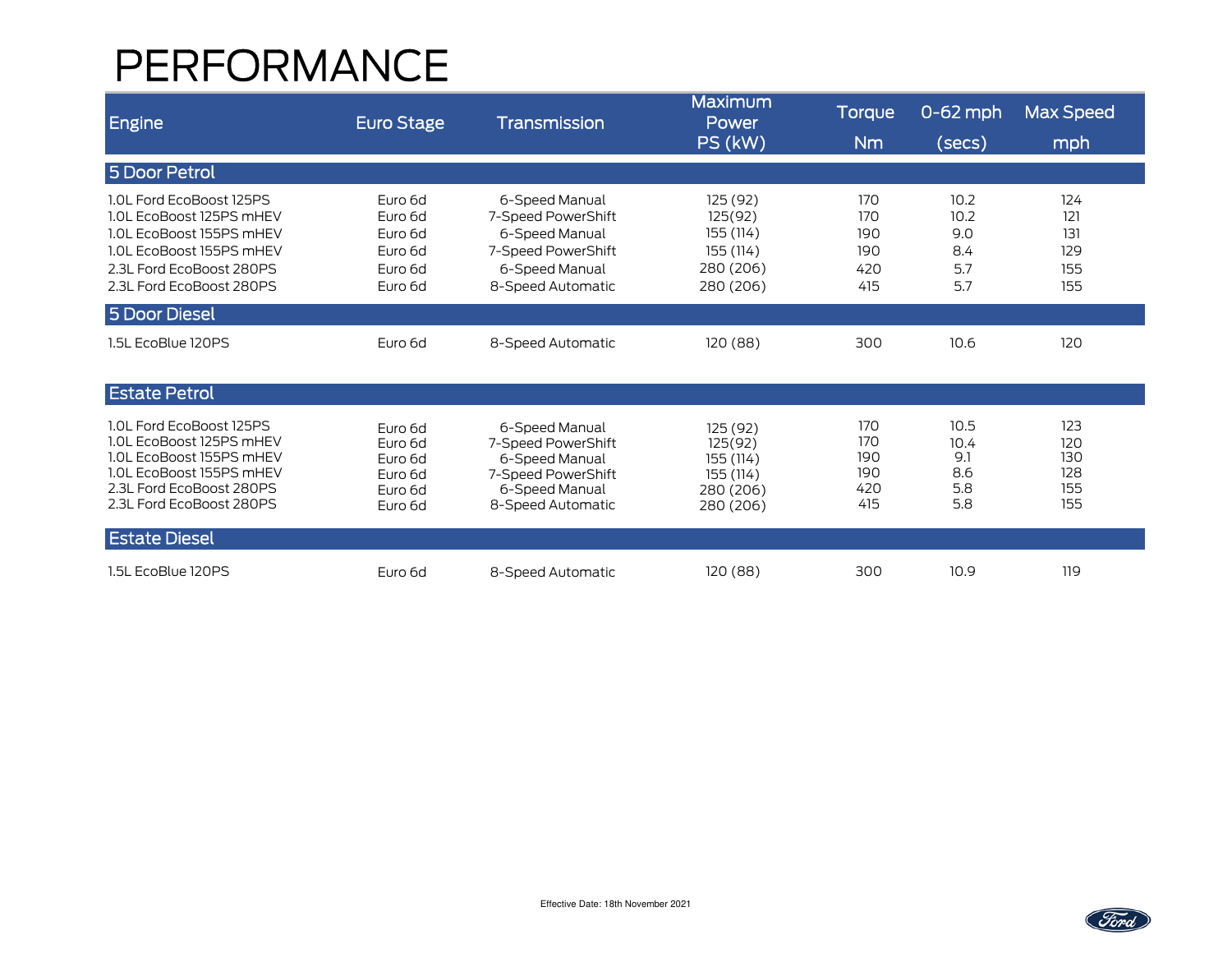# PERFORMANCE

| Engine                                                                                                                                                               | <b>Euro Stage</b>                                              | Transmission                                                                                                        | Maximum<br>Power<br>PS (kW)                                             | Torque<br>N <sub>m</sub>               | $0-62$ mph<br>(secs)                     | <b>Max Speed</b><br>mph                |
|----------------------------------------------------------------------------------------------------------------------------------------------------------------------|----------------------------------------------------------------|---------------------------------------------------------------------------------------------------------------------|-------------------------------------------------------------------------|----------------------------------------|------------------------------------------|----------------------------------------|
| 5 Door Petrol                                                                                                                                                        |                                                                |                                                                                                                     |                                                                         |                                        |                                          |                                        |
| 1.0L Ford EcoBoost 125PS<br>1.0L EcoBoost 125PS mHEV<br>1.0L EcoBoost 155PS mHEV<br>1.0L EcoBoost 155PS mHEV<br>2.3L Ford EcoBoost 280PS<br>2.3L Ford EcoBoost 280PS | Euro 6d<br>Euro 6d<br>Euro 6d<br>Euro 6d<br>Euro 6d<br>Euro 6d | 6-Speed Manual<br>7-Speed PowerShift<br>6-Speed Manual<br>7-Speed PowerShift<br>6-Speed Manual<br>8-Speed Automatic | 125 (92)<br>125(92)<br>155 (114)<br>155 (114)<br>280 (206)<br>280 (206) | 170<br>170<br>190<br>190<br>420<br>415 | 10.2<br>10.2<br>9.0<br>8.4<br>5.7<br>5.7 | 124<br>121<br>131<br>129<br>155<br>155 |
| 5 Door Diesel                                                                                                                                                        |                                                                |                                                                                                                     |                                                                         |                                        |                                          |                                        |
| 1.5L EcoBlue 120PS                                                                                                                                                   | Euro 6d                                                        | 8-Speed Automatic                                                                                                   | 120 (88)                                                                | 300                                    | 10.6                                     | 120                                    |
| <b>Estate Petrol</b>                                                                                                                                                 |                                                                |                                                                                                                     |                                                                         |                                        |                                          |                                        |
| 1.0L Ford EcoBoost 125PS<br>1.0L EcoBoost 125PS mHEV<br>1.0L EcoBoost 155PS mHEV<br>1.0L EcoBoost 155PS mHEV<br>2.3L Ford EcoBoost 280PS<br>2.3L Ford EcoBoost 280PS | Euro 6d<br>Euro 6d<br>Euro 6d<br>Euro 6d<br>Euro 6d<br>Euro 6d | 6-Speed Manual<br>7-Speed PowerShift<br>6-Speed Manual<br>7-Speed PowerShift<br>6-Speed Manual<br>8-Speed Automatic | 125 (92)<br>125(92)<br>155 (114)<br>155 (114)<br>280 (206)<br>280 (206) | 170<br>170<br>190<br>190<br>420<br>415 | 10.5<br>10.4<br>9.1<br>8.6<br>5.8<br>5.8 | 123<br>120<br>130<br>128<br>155<br>155 |
| <b>Estate Diesel</b>                                                                                                                                                 |                                                                |                                                                                                                     |                                                                         |                                        |                                          |                                        |
| 1.5L EcoBlue 120PS                                                                                                                                                   | Euro 6d                                                        | 8-Speed Automatic                                                                                                   | 120(88)                                                                 | 300                                    | 10.9                                     | 119                                    |

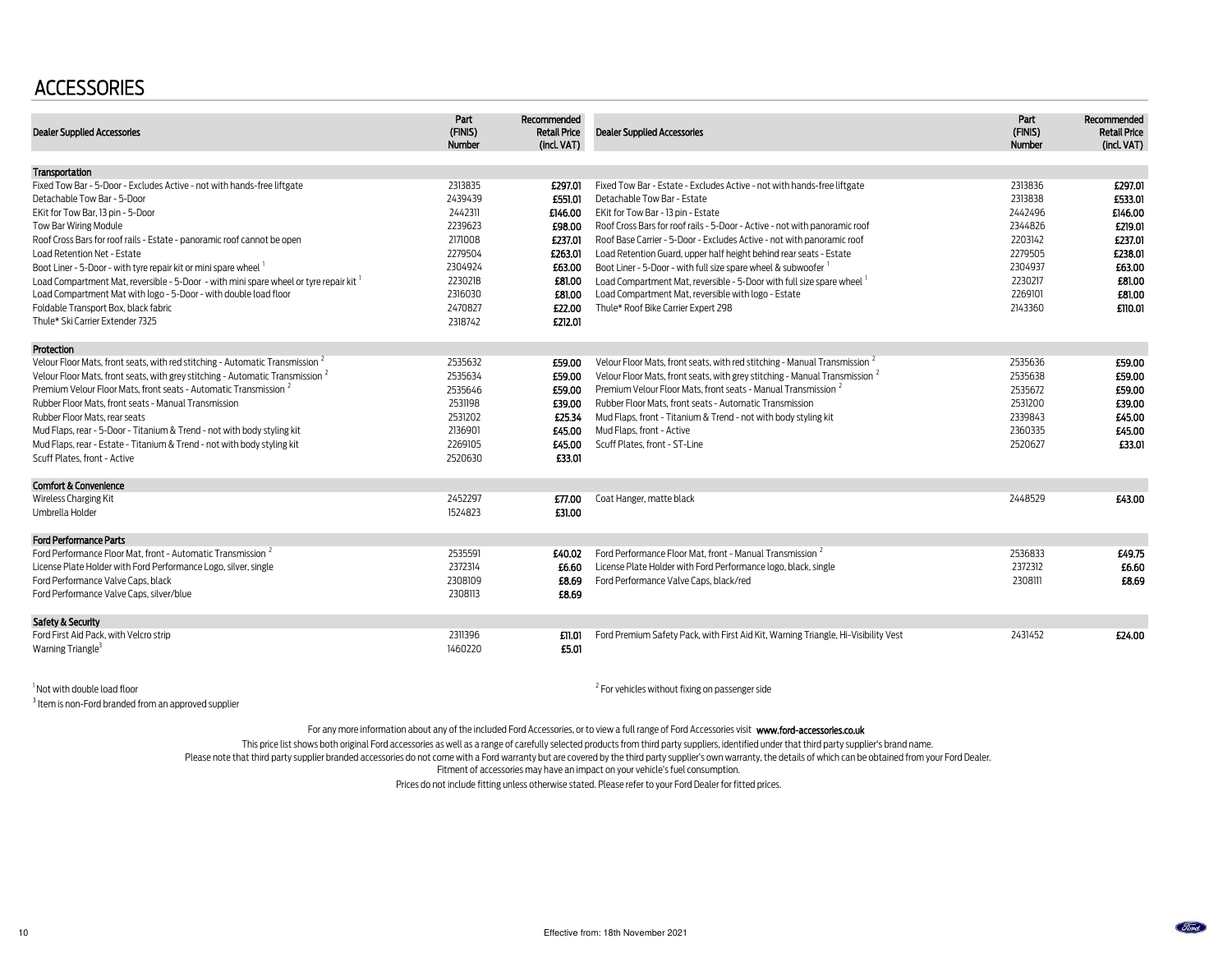## **ACCESSORIES**

| <b>Dealer Supplied Accessories</b>                                                        | Part<br>(FINIS)<br>Number | Recommended<br><b>Retail Price</b><br>(incl. VAT) | <b>Dealer Supplied Accessories</b>                                                     | Part<br>(FINIS)<br>Number | Recommended<br><b>Retail Price</b><br>(incl. VAT) |
|-------------------------------------------------------------------------------------------|---------------------------|---------------------------------------------------|----------------------------------------------------------------------------------------|---------------------------|---------------------------------------------------|
| Transportation                                                                            |                           |                                                   |                                                                                        |                           |                                                   |
| Fixed Tow Bar - 5-Door - Excludes Active - not with hands-free liftgate                   | 2313835                   | £297.01                                           | Fixed Tow Bar - Estate - Excludes Active - not with hands-free liftgate                | 2313836                   | £297.01                                           |
| Detachable Tow Bar - 5-Door                                                               | 2439439                   | £551.01                                           | Detachable Tow Bar - Estate                                                            | 2313838                   | £533.01                                           |
| EKit for Tow Bar, 13 pin - 5-Door                                                         | 2442311                   | £146.00                                           | EKit for Tow Bar - 13 pin - Estate                                                     | 2442496                   | £146.00                                           |
| Tow Bar Wiring Module                                                                     | 2239623                   | £98.00                                            | Roof Cross Bars for roof rails - 5-Door - Active - not with panoramic roof             | 2344826                   | £219.01                                           |
| Roof Cross Bars for roof rails - Estate - panoramic roof cannot be open                   | 2171008                   | £237.01                                           | Roof Base Carrier - 5-Door - Excludes Active - not with panoramic roof                 | 2203142                   | £237.01                                           |
| Load Retention Net - Estate                                                               | 2279504                   | £263.01                                           | Load Retention Guard, upper half height behind rear seats - Estate                     | 2279505                   | £238.01                                           |
| Boot Liner - 5-Door - with tyre repair kit or mini spare wheel 1                          | 2304924                   | £63.00                                            | Boot Liner - 5-Door - with full size spare wheel & subwoofer                           | 2304937                   | £63.00                                            |
| Load Compartment Mat, reversible - 5-Door - with mini spare wheel or tyre repair kit      | 2230218                   | £81.00                                            | Load Compartment Mat, reversible - 5-Door with full size spare wheel                   | 2230217                   | £81.00                                            |
| Load Compartment Mat with logo - 5-Door - with double load floor                          | 2316030                   | £81.00                                            | Load Compartment Mat, reversible with logo - Estate                                    | 2269101                   | £81.00                                            |
| Foldable Transport Box, black fabric                                                      | 2470827                   | £22.00                                            | Thule* Roof Bike Carrier Expert 298                                                    | 2143360                   | £110.01                                           |
| Thule* Ski Carrier Extender 7325                                                          | 2318742                   | £212.01                                           |                                                                                        |                           |                                                   |
| Protection                                                                                |                           |                                                   |                                                                                        |                           |                                                   |
| Velour Floor Mats, front seats, with red stitching - Automatic Transmission <sup>2</sup>  | 2535632                   | £59.00                                            | Velour Floor Mats, front seats, with red stitching - Manual Transmission 4             | 2535636                   | £59.00                                            |
| Velour Floor Mats, front seats, with grey stitching - Automatic Transmission <sup>2</sup> | 2535634                   | £59.00                                            | Velour Floor Mats, front seats, with grey stitching - Manual Transmission <sup>2</sup> | 2535638                   | £59.00                                            |
| Premium Velour Floor Mats. front seats - Automatic Transmission <sup>2</sup>              | 2535646                   | £59.00                                            | Premium Velour Floor Mats. front seats - Manual Transmission <sup>2</sup>              | 2535672                   | £59.00                                            |
| Rubber Floor Mats, front seats - Manual Transmission                                      | 2531198                   | £39.00                                            | Rubber Floor Mats, front seats - Automatic Transmission                                | 2531200                   | £39.00                                            |
| Rubber Floor Mats, rear seats                                                             | 2531202                   | £25.34                                            | Mud Flaps, front - Titanium & Trend - not with body styling kit                        | 2339843                   | £45.00                                            |
| Mud Flaps, rear - 5-Door - Titanium & Trend - not with body styling kit                   | 2136901                   | £45.00                                            | Mud Flaps, front - Active                                                              | 2360335                   | £45.00                                            |
| Mud Flaps, rear - Estate - Titanium & Trend - not with body styling kit                   | 2269105                   | £45.00                                            | Scuff Plates, front - ST-Line                                                          | 2520627                   | £33.01                                            |
| Scuff Plates, front - Active                                                              | 2520630                   | £33.01                                            |                                                                                        |                           |                                                   |
| <b>Comfort &amp; Convenience</b>                                                          |                           |                                                   |                                                                                        |                           |                                                   |
| Wireless Charging Kit                                                                     | 2452297                   | £77.00                                            | Coat Hanger, matte black                                                               | 2448529                   | £43.00                                            |
| Umbrella Holder                                                                           | 1524823                   | £31.00                                            |                                                                                        |                           |                                                   |
| <b>Ford Performance Parts</b>                                                             |                           |                                                   |                                                                                        |                           |                                                   |
| Ford Performance Floor Mat. front - Automatic Transmission <sup>2</sup>                   | 2535591                   | £40.02                                            | Ford Performance Floor Mat. front - Manual Transmission <sup>2</sup>                   | 2536833                   | £49.75                                            |
| License Plate Holder with Ford Performance Logo, silver, single                           | 2372314                   | £6.60                                             | License Plate Holder with Ford Performance logo, black, single                         | 2372312                   | £6.60                                             |
| Ford Performance Valve Caps, black                                                        | 2308109                   | £8.69                                             | Ford Performance Valve Caps, black/red                                                 | 2308111                   | £8.69                                             |
| Ford Performance Valve Caps, silver/blue                                                  | 2308113                   | £8.69                                             |                                                                                        |                           |                                                   |
| Safety & Security                                                                         |                           |                                                   |                                                                                        |                           |                                                   |
| Ford First Aid Pack, with Velcro strip                                                    | 2311396                   | £11.01                                            | Ford Premium Safety Pack, with First Aid Kit, Warning Triangle, Hi-Visibility Vest     | 2431452                   | £24.00                                            |
| Warning Triangle <sup>3</sup>                                                             | 1460220                   | £5.01                                             |                                                                                        |                           |                                                   |

<sup>1</sup> Not with double load floor

<sup>3</sup> Item is non-Ford branded from an approved supplier

 $2$  For vehicles without fixing on passenger side

For any more information about any of the included Ford Accessories, or to view a full range of Ford Accessories visit www.ford-accessories.co.uk

This price list shows both original Ford accessories as well as a range of carefully selected products from third party suppliers, identified under that third party supplier's brand name.

Please note that third party supplier branded accessories do not come with a Ford warranty but are covered by the third party supplier's own warranty, the details of which can be obtained from your Ford Dealer.

Fitment of accessories may have an impact on your vehicle's fuel consumption.

Prices do not include fitting unless otherwise stated. Please refer to your Ford Dealer for fitted prices.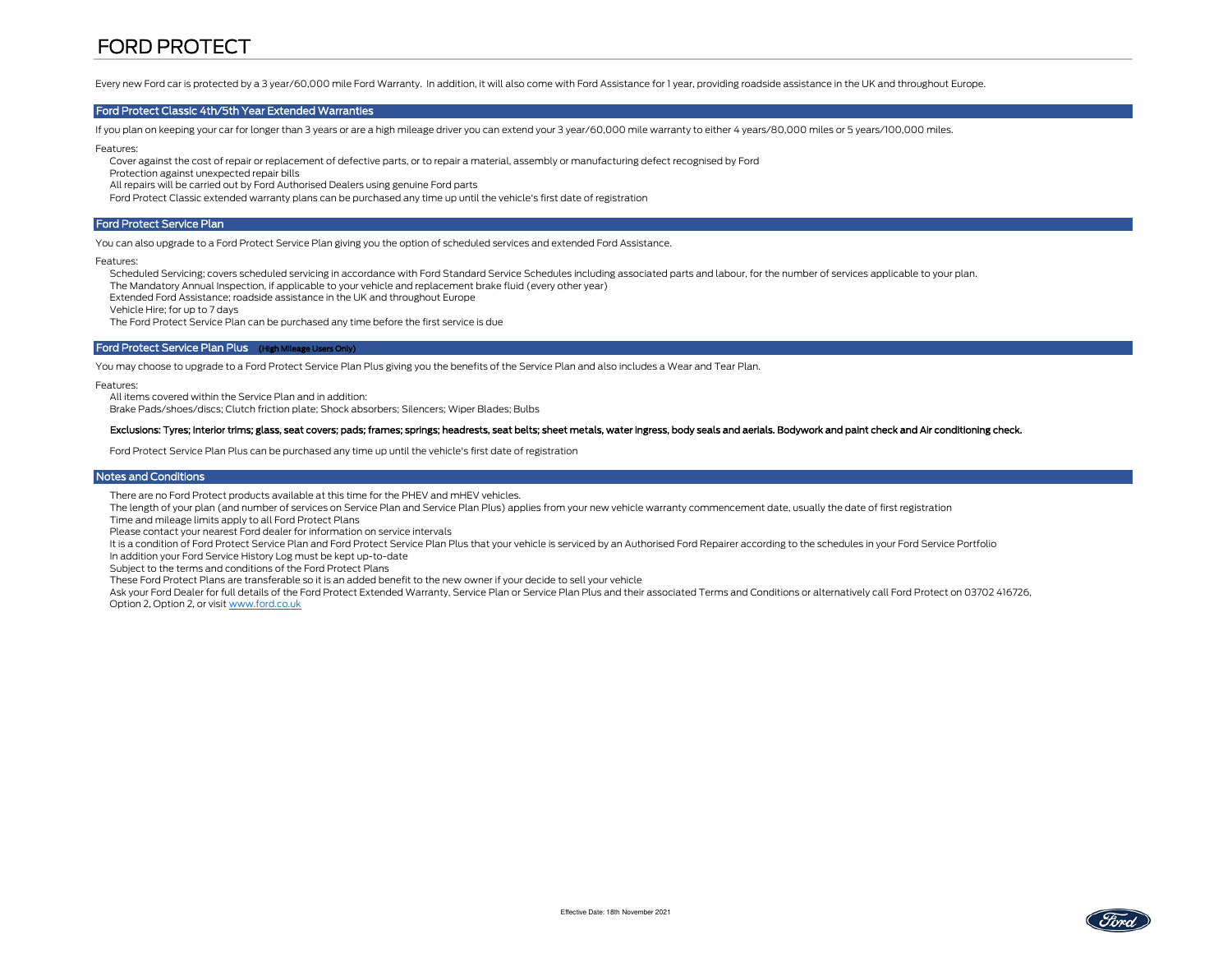## FORD PROTECT

Every new Ford car is protected by a 3 year/60,000 mile Ford Warranty. In addition, it will also come with Ford Assistance for 1 year, providing roadside assistance in the UK and throughout Europe.

#### Ford Protect Classic 4th/5th Year Extended Warranties

If you plan on keeping your car for longer than 3 years or are a high mileage driver you can extend your 3 year/60,000 mile warranty to either 4 years/80,000 miles or 5 years/100,000 miles.

Features:

Cover against the cost of repair or replacement of defective parts, or to repair a material, assembly or manufacturing defect recognised by Ford

Protection against unexpected repair bills

All repairs will be carried out by Ford Authorised Dealers using genuine Ford parts

Ford Protect Classic extended warranty plans can be purchased any time up until the vehicle's first date of registration

#### Ford Protect Service Plan

You can also upgrade to a Ford Protect Service Plan giving you the option of scheduled services and extended Ford Assistance.

Features:

Scheduled Servicing; covers scheduled servicing in accordance with Ford Standard Service Schedules including associated parts and labour, for the number of services applicable to your plan.

The Mandatory Annual Inspection, if applicable to your vehicle and replacement brake fluid (every other year)

Extended Ford Assistance; roadside assistance in the UK and throughout Europe

Vehicle Hire; for up to 7 days

The Ford Protect Service Plan can be purchased any time before the first service is due

#### Ford Protect Service Plan Plus (High Mileage Users Only)

You may choose to upgrade to a Ford Protect Service Plan Plus giving you the benefits of the Service Plan and also includes a Wear and Tear Plan.

Features:

All items covered within the Service Plan and in addition:

Brake Pads/shoes/discs; Clutch friction plate; Shock absorbers; Silencers; Wiper Blades; Bulbs

#### Exclusions: Tyres; Interior trims; glass, seat covers; pads; frames; springs; headrests, seat belts; sheet metals, water ingress, body seals and aerials. Bodywork and paint check and Air conditioning check.

Ford Protect Service Plan Plus can be purchased any time up until the vehicle's first date of registration

#### Notes and Conditions

There are no Ford Protect products available at this time for the PHEV and mHEV vehicles.

The length of your plan (and number of services on Service Plan and Service Plan Plus) applies from your new vehicle warranty commencement date, usually the date of first registration

Time and mileage limits apply to all Ford Protect Plans

Please contact your nearest Ford dealer for information on service intervals

It is a condition of Ford Protect Service Plan and Ford Protect Service Plan Plus that your vehicle is serviced by an Authorised Ford Repairer according to the schedules in your Ford Service Portfolio

In addition your Ford Service History Log must be kept up-to-date

Subject to the terms and conditions of the Ford Protect Plans

These Ford Protect Plans are transferable so it is an added benefit to the new owner if your decide to sell your vehicle

 Ask your Ford Dealer for full details of the Ford Protect Extended Warranty, Service Plan or Service Plan Plus and their associated Terms and Conditions or alternatively call Ford Protect on 03702 416726, Option 2, Option 2, or visit www.ford.co.uk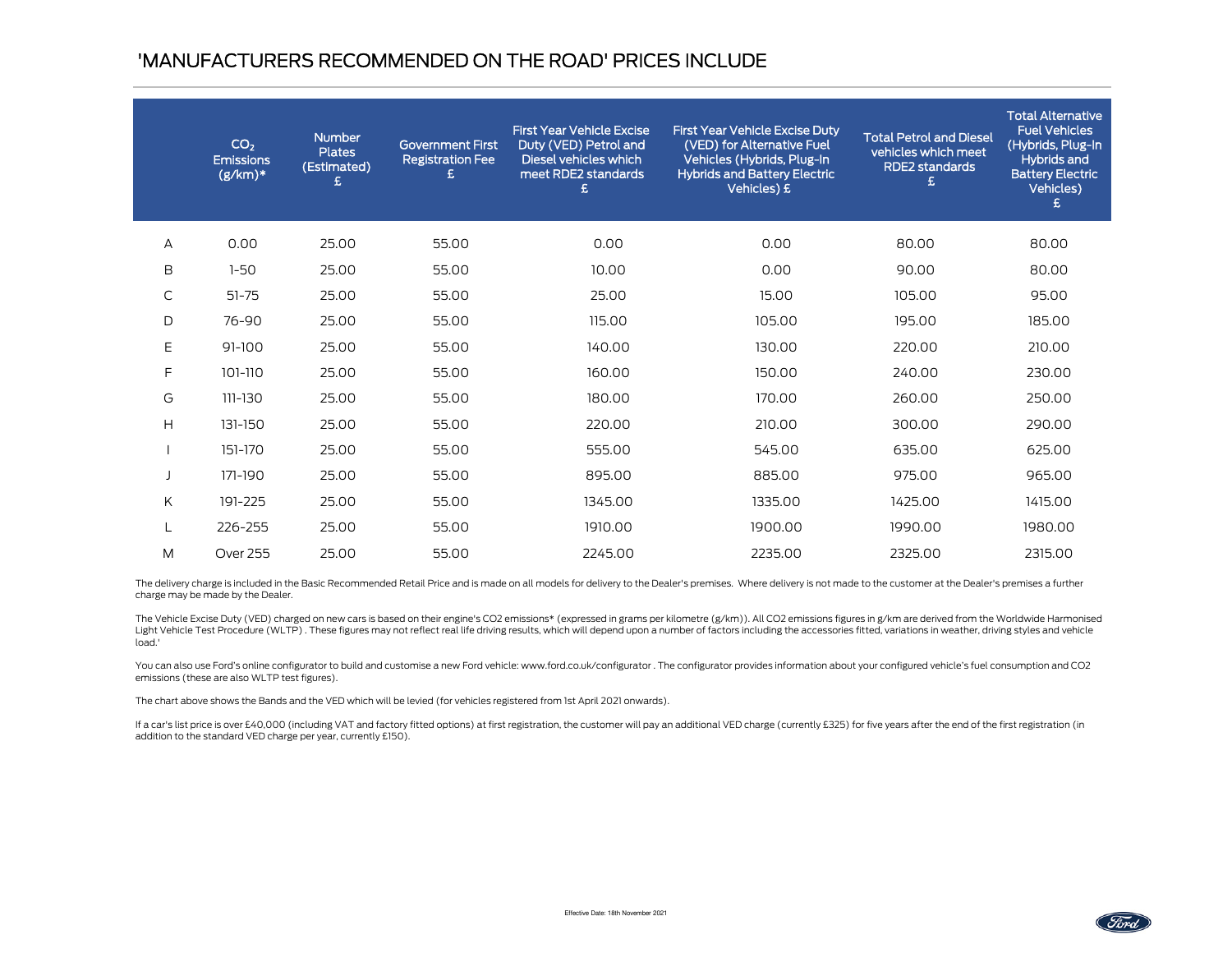## 'MANUFACTURERS RECOMMENDED ON THE ROAD' PRICES INCLUDE

|   | CO <sub>2</sub><br><b>Emissions</b><br>$(g/km)*$ | <b>Number</b><br><b>Plates</b><br>(Estimated)<br>£ | <b>Government First</b><br><b>Registration Fee</b><br>£ | <b>First Year Vehicle Excise</b><br>Duty (VED) Petrol and<br>Diesel vehicles which<br>meet RDE2 standards<br>£ | <b>First Year Vehicle Excise Duty</b><br>(VED) for Alternative Fuel<br>Vehicles (Hybrids, Plug-In<br><b>Hybrids and Battery Electric</b><br>Vehicles) £ | <b>Total Petrol and Diesel</b><br>vehicles which meet<br><b>RDE2</b> standards<br>£ | <b>Total Alternative</b><br><b>Fuel Vehicles</b><br>(Hybrids, Plug-In<br><b>Hybrids and</b><br><b>Battery Electric</b><br>Vehicles)<br>£ |
|---|--------------------------------------------------|----------------------------------------------------|---------------------------------------------------------|----------------------------------------------------------------------------------------------------------------|---------------------------------------------------------------------------------------------------------------------------------------------------------|-------------------------------------------------------------------------------------|------------------------------------------------------------------------------------------------------------------------------------------|
| А | 0.00                                             | 25.00                                              | 55.00                                                   | 0.00                                                                                                           | 0.00                                                                                                                                                    | 80.00                                                                               | 80.00                                                                                                                                    |
| B | $1 - 50$                                         | 25.00                                              | 55.00                                                   | 10.00                                                                                                          | 0.00                                                                                                                                                    | 90.00                                                                               | 80.00                                                                                                                                    |
| С | $51 - 75$                                        | 25.00                                              | 55.00                                                   | 25.00                                                                                                          | 15.00                                                                                                                                                   | 105.00                                                                              | 95.00                                                                                                                                    |
| D | 76-90                                            | 25.00                                              | 55.00                                                   | 115.00                                                                                                         | 105.00                                                                                                                                                  | 195.00                                                                              | 185.00                                                                                                                                   |
| E | $91 - 100$                                       | 25.00                                              | 55.00                                                   | 140.00                                                                                                         | 130.00                                                                                                                                                  | 220.00                                                                              | 210.00                                                                                                                                   |
| F | 101-110                                          | 25.00                                              | 55.00                                                   | 160.00                                                                                                         | 150.00                                                                                                                                                  | 240.00                                                                              | 230.00                                                                                                                                   |
| G | $111 - 130$                                      | 25.00                                              | 55.00                                                   | 180.00                                                                                                         | 170.00                                                                                                                                                  | 260.00                                                                              | 250.00                                                                                                                                   |
| H | 131-150                                          | 25.00                                              | 55.00                                                   | 220.00                                                                                                         | 210.00                                                                                                                                                  | 300.00                                                                              | 290.00                                                                                                                                   |
|   | 151-170                                          | 25.00                                              | 55.00                                                   | 555.00                                                                                                         | 545.00                                                                                                                                                  | 635.00                                                                              | 625.00                                                                                                                                   |
|   | 171-190                                          | 25.00                                              | 55.00                                                   | 895.00                                                                                                         | 885.00                                                                                                                                                  | 975.00                                                                              | 965.00                                                                                                                                   |
| K | 191-225                                          | 25.00                                              | 55.00                                                   | 1345.00                                                                                                        | 1335.00                                                                                                                                                 | 1425.00                                                                             | 1415.00                                                                                                                                  |
|   | 226-255                                          | 25.00                                              | 55.00                                                   | 1910.00                                                                                                        | 1900.00                                                                                                                                                 | 1990.00                                                                             | 1980.00                                                                                                                                  |
| M | <b>Over 255</b>                                  | 25.00                                              | 55.00                                                   | 2245.00                                                                                                        | 2235.00                                                                                                                                                 | 2325.00                                                                             | 2315.00                                                                                                                                  |

The delivery charge is included in the Basic Recommended Retail Price and is made on all models for delivery to the Dealer's premises. Where delivery is not made to the customer at the Dealer's premises a further charge may be made by the Dealer.

The Vehicle Excise Duty (VED) charged on new cars is based on their engine's CO2 emissions\* (expressed in grams per kilometre (g/km)). All CO2 emissions figures in g/km are derived from the Worldwide Harmonised Light Vehicle Test Procedure (WLTP). These figures may not reflect real life driving results, which will depend upon a number of factors including the accessories fitted, variations in weather, driving styles and vehicle load.'

You can also use Ford's online configurator to build and customise a new Ford vehicle: www.ford.co.uk/configurator . The configurator provides information about your configured vehicle's fuel consumption and CO2 emissions (these are also WLTP test figures).

The chart above shows the Bands and the VED which will be levied (for vehicles registered from 1st April 2021 onwards).

If a car's list price is over £40,000 (including VAT and factory fitted options) at first registration, the customer will pay an additional VED charge (currently £325) for five years after the end of the first registration addition to the standard VED charge per year, currently £150).